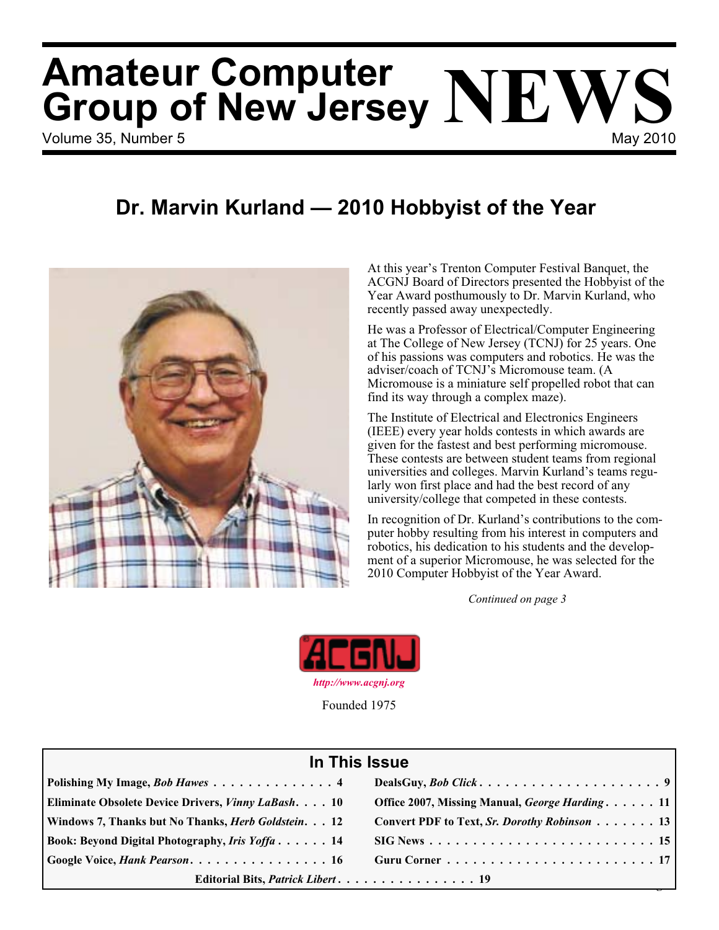# Volume 35, Number 5 May 2010 **Amateur Computer Group of New Jersey NEWS**

### **Dr. Marvin Kurland — 2010 Hobbyist of the Year**



At this year's Trenton Computer Festival Banquet, the ACGNJ Board of Directors presented the Hobbyist of the Year Award posthumously to Dr. Marvin Kurland, who recently passed away unexpectedly.

He was a Professor of Electrical/Computer Engineering at The College of New Jersey (TCNJ) for 25 years. One of his passions was computers and robotics. He was the adviser/coach of TCNJ's Micromouse team. (A Micromouse is a miniature self propelled robot that can find its way through a complex maze).

The Institute of Electrical and Electronics Engineers (IEEE) every year holds contests in which awards are given for the fastest and best performing micromouse. These contests are between student teams from regional universities and colleges. Marvin Kurland's teams regularly won first place and had the best record of any university/college that competed in these contests.

In recognition of Dr. Kurland's contributions to the computer hobby resulting from his interest in computers and robotics, his dedication to his students and the development of a superior Micromouse, he was selected for the 2010 Computer Hobbyist of the Year Award.

*Continued on page 3*



Founded 1975

#### **In This Issue**

| Editorial Bits, Patrick Libert 19                                                                       |                                                |  |  |  |
|---------------------------------------------------------------------------------------------------------|------------------------------------------------|--|--|--|
| $\vert$ Google Voice, <i>Hank Pearson.</i> $\ldots \ldots \ldots \ldots \ldots \ldots \ldots \ldots 16$ |                                                |  |  |  |
| Book: Beyond Digital Photography, Iris Yoffa 14                                                         |                                                |  |  |  |
| Windows 7, Thanks but No Thanks, <i>Herb Goldstein.</i> 12                                              | Convert PDF to Text, Sr. Dorothy Robinson 13   |  |  |  |
| Eliminate Obsolete Device Drivers, <i>Vinny LaBash.</i> 10                                              | Office 2007, Missing Manual, George Harding 11 |  |  |  |
| Polishing My Image, Bob Hawes 4                                                                         |                                                |  |  |  |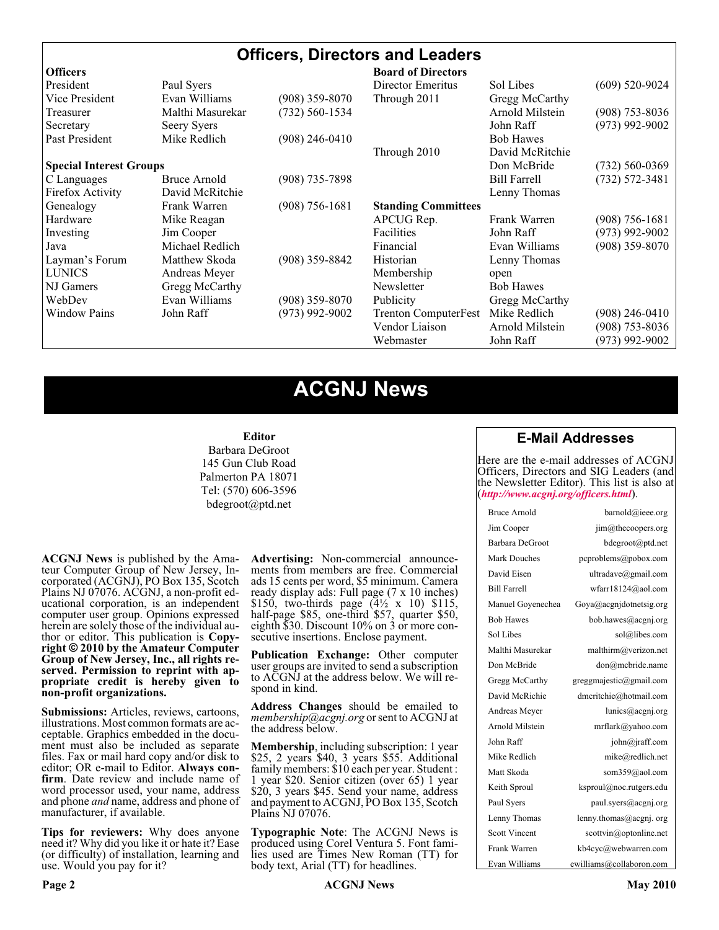#### **Officers, Directors and Leaders**

| <b>Officers</b>                |                  |                    | <b>Board of Directors</b>   |                     |                    |
|--------------------------------|------------------|--------------------|-----------------------------|---------------------|--------------------|
| President                      | Paul Syers       |                    | Director Emeritus           | Sol Libes           | $(609)$ 520-9024   |
| Vice President                 | Evan Williams    | $(908)$ 359-8070   | Through 2011                | Gregg McCarthy      |                    |
| Treasurer                      | Malthi Masurekar | $(732) 560 - 1534$ |                             | Arnold Milstein     | $(908)$ 753-8036   |
| Secretary                      | Seery Syers      |                    |                             | John Raff           | $(973)$ 992-9002   |
| Past President                 | Mike Redlich     | $(908)$ 246-0410   |                             | <b>Bob Hawes</b>    |                    |
|                                |                  |                    | Through 2010                | David McRitchie     |                    |
| <b>Special Interest Groups</b> |                  |                    |                             | Don McBride         | $(732) 560 - 0369$ |
| C Languages                    | Bruce Arnold     | (908) 735-7898     |                             | <b>Bill Farrell</b> | $(732) 572 - 3481$ |
| Firefox Activity               | David McRitchie  |                    |                             | Lenny Thomas        |                    |
| Genealogy                      | Frank Warren     | $(908)$ 756-1681   | <b>Standing Committees</b>  |                     |                    |
| Hardware                       | Mike Reagan      |                    | APCUG Rep.                  | Frank Warren        | $(908) 756 - 1681$ |
| Investing                      | Jim Cooper       |                    | <b>Facilities</b>           | John Raff           | $(973)$ 992-9002   |
| Java                           | Michael Redlich  |                    | Financial                   | Evan Williams       | $(908)$ 359-8070   |
| Layman's Forum                 | Matthew Skoda    | $(908)$ 359-8842   | Historian                   | Lenny Thomas        |                    |
| <b>LUNICS</b>                  | Andreas Meyer    |                    | Membership                  | open                |                    |
| NJ Gamers                      | Gregg McCarthy   |                    | Newsletter                  | <b>Bob Hawes</b>    |                    |
| WebDev                         | Evan Williams    | $(908)$ 359-8070   | Publicity                   | Gregg McCarthy      |                    |
| <b>Window Pains</b>            | John Raff        | $(973)$ 992-9002   | <b>Trenton ComputerFest</b> | Mike Redlich        | $(908)$ 246-0410   |
|                                |                  |                    | Vendor Liaison              | Arnold Milstein     | $(908)$ 753-8036   |
|                                |                  |                    | Webmaster                   | John Raff           | (973) 992-9002     |

### **ACGNJ News**

#### **Editor**

Barbara DeGroot 145 Gun Club Road Palmerton PA 18071 Tel: (570) 606-3596 bdegroot@ptd.net

**ACGNJ News** is published by the Ama- teur Computer Group of New Jersey, In- corporated (ACGNJ), PO Box 135, Scotch Plains NJ 07076. ACGNJ, a non-profit ed- ucational corporation, is an independent computer user group. Opinions expressed herein are solely those of the individual author or editor. This publication is **Copy-**<br>**right**  $\bigcirc$  2010 by the Amateur Computer<br>**Group of New Jersey, Inc., all rights re-Group of New Jersey, Inc., all rights re- served. Permission to reprint with ap- propriate credit is hereby given to non-profit organizations.**

**Submissions:** Articles, reviews, cartoons, illustrations. Most common formats are ac- ceptable. Graphics embedded in the docu- ment must also be included as separate files. Fax or mail hard copy and/or disk to editor; OR e-mail to Editor. Always confirm. Date review and include name of word processor used, your name, address and phone *and* name, address and phone of manufacturer, if available.

**Tips for reviewers:** Why does anyone need it? Why did you like it or hate it? Ease (or difficulty) of installation, learning and use. Would you pay for it?

**Advertising:** Non-commercial announce- ments from members are free. Commercial ads 15 cents per word, \$5 minimum. Camera ready display ads: Full page (7 x 10 inches) \$150, two-thirds page  $(4\frac{1}{2} \times 10)$  \$115, half-page \$85, one-third \$57, quarter \$50, eighth \$30. Discount 10% on 3 or more con- secutive insertions. Enclose payment.

**Publication Exchange:** Other computer user groups are invited to send a subscription to ACGNJ at the address below. We will re- spond in kind.

**Address Changes** should be emailed to *membership@acgnj.org* or sent to ACGNJ at the address below.

**Membership**, including subscription: 1 year \$25, 2 years \$40, 3 years \$55. Additional family members: \$10 each per year. Student : 1 year \$20. Senior citizen (over 65) 1 year \$20, 3 years \$45. Send your name, address and payment to ACGNJ, PO Box 135, Scotch Plains NJ 07076.

**Typographic Note**: The ACGNJ News is produced using Corel Ventura 5. Font fami- lies used are Times New Roman (TT) for body text, Arial (TT) for headlines.

#### **E-Mail Addresses**

Here are the e-mail addresses of ACGNJ Officers, Directors and SIG Leaders (and the Newsletter Editor). This list is also at (*<http://www.acgnj.org/officers.html>*).

| Bruce Arnold         | barnold@ieee.org                     |
|----------------------|--------------------------------------|
| Jim Cooper           | jim@thecoopers.org                   |
| Barbara DeGroot      | bdegroot@ptd.net                     |
| Mark Douches         | pcproblems@pobox.com                 |
| David Eisen          | ultradave@gmail.com                  |
| <b>Bill Farrell</b>  | wfarr18124@aol.com                   |
| Manuel Goyenechea    | Goya@acgnidotnetsig.org              |
| <b>Bob Hawes</b>     | bob.hawes@acgnj.org                  |
| Sol Libes            | sol@libes.com                        |
| Malthi Masurekar     | malthirm@verizon.net                 |
| Don McBride          | don@mcbride.name                     |
| Gregg McCarthy       | greggmajestic@gmail.com              |
| David McRichie       | dmcritchie@hotmail.com               |
| Andreas Meyer        | lunics@acgnj.org                     |
| Arnold Milstein      | mrflark@yahoo.com                    |
| John Raff            | $\overline{\text{iohn}(a)}$ raff.com |
| Mike Redlich         | mike@redlich.net                     |
| Matt Skoda           | som359@aol.com                       |
| Keith Sproul         | ksproul@noc.rutgers.edu              |
| Paul Syers           | paul.syers@acgnj.org                 |
| Lenny Thomas         | lenny.thomas@acgnj.org               |
| <b>Scott Vincent</b> | scottvin@optonline.net               |
| Frank Warren         | kb4cyc@webwarren.com                 |
| Evan Williams        | ewilliams@collaboron.com             |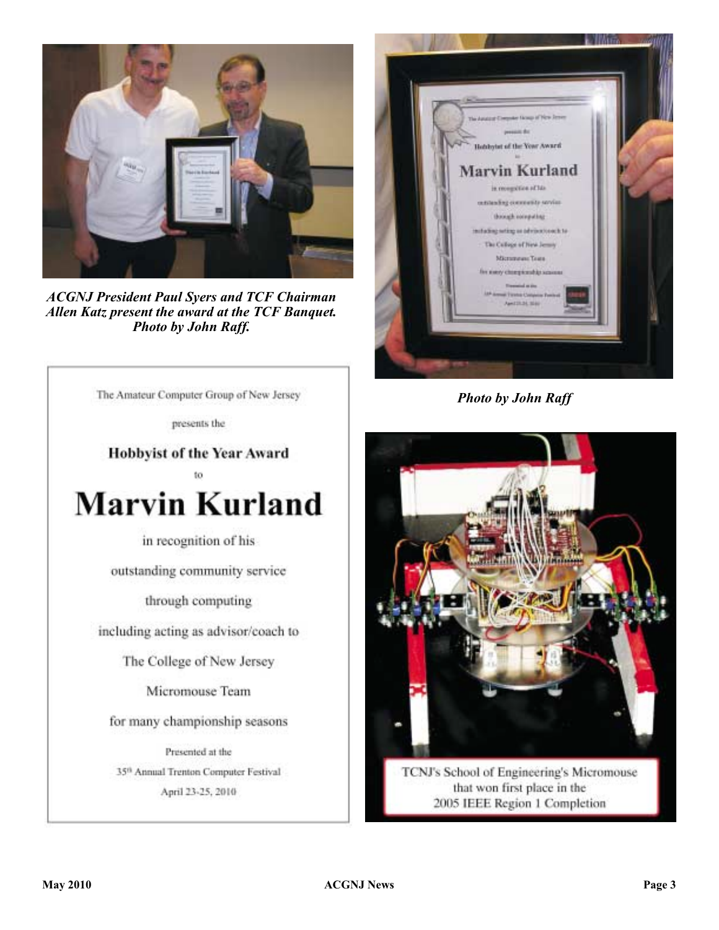

*ACGNJ President Paul Syers and TCF Chairman Allen Katz present the award at the TCF Banquet. Photo by John Raff.*



*Photo by John Raff*



TCNJ's School of Engineering's Micromouse that won first place in the 2005 IEEE Region 1 Completion

The Amateur Computer Group of New Jersey

presents the

**Hobbyist of the Year Award** 



in recognition of his

outstanding community service

through computing

including acting as advisor/coach to

The College of New Jersey

Micromouse Team

for many championship seasons

Presented at the 35th Annual Trenton Computer Festival April 23-25, 2010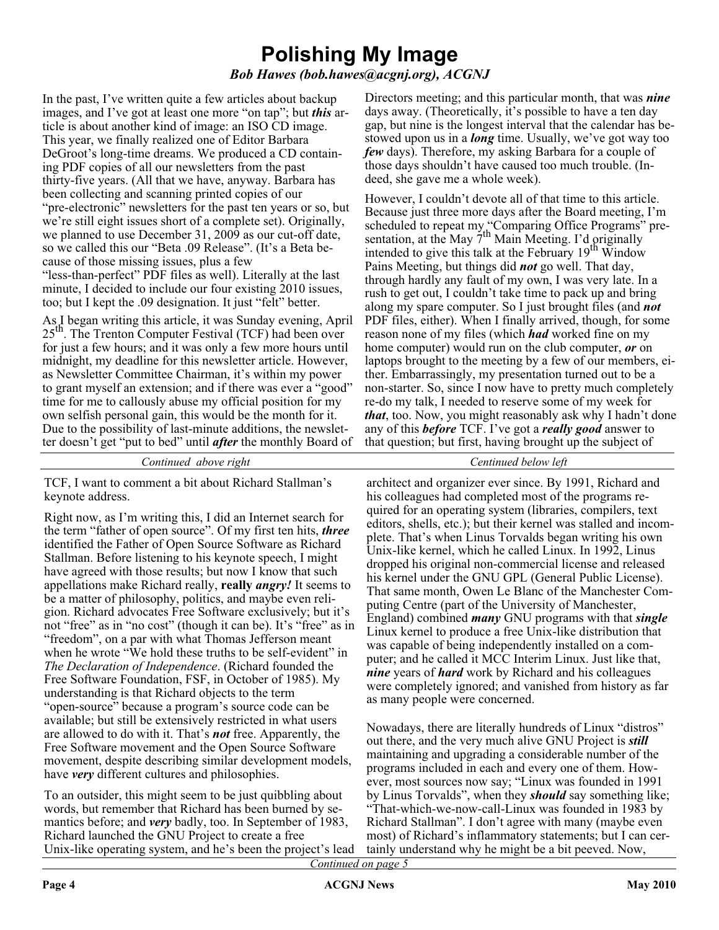# **Polishing My Image**

*Bob Hawes (bob.hawes@acgnj.org), ACGNJ*

In the past, I've written quite a few articles about backup images, and I've got at least one more "on tap"; but *this* article is about another kind of image: an ISO CD image. This year, we finally realized one of Editor Barbara DeGroot's long-time dreams. We produced a CD containing PDF copies of all our newsletters from the past thirty-five years. (All that we have, anyway. Barbara has been collecting and scanning printed copies of our "pre-electronic" newsletters for the past ten years or so, but we're still eight issues short of a complete set). Originally, we planned to use December 31, 2009 as our cut-off date, so we called this our "Beta .09 Release". (It's a Beta because of those missing issues, plus a few

"less-than-perfect" PDF files as well). Literally at the last minute, I decided to include our four existing 2010 issues, too; but I kept the .09 designation. It just "felt" better.

As I began writing this article, it was Sunday evening, April  $25<sup>th</sup>$ . The Trenton Computer Festival (TCF) had been over for just a few hours; and it was only a few more hours until midnight, my deadline for this newsletter article. However, as Newsletter Committee Chairman, it's within my power to grant myself an extension; and if there was ever a "good" time for me to callously abuse my official position for my own selfish personal gain, this would be the month for it. Due to the possibility of last-minute additions, the newsletter doesn't get "put to bed" until *after* the monthly Board of

*Continued above right Centinued below left*

TCF, I want to comment a bit about Richard Stallman's keynote address.

Right now, as I'm writing this, I did an Internet search for the term "father of open source". Of my first ten hits, *three* identified the Father of Open Source Software as Richard Stallman. Before listening to his keynote speech, I might have agreed with those results; but now I know that such appellations make Richard really, **really** *angry!* It seems to be a matter of philosophy, politics, and maybe even religion. Richard advocates Free Software exclusively; but it's not "free" as in "no cost" (though it can be). It's "free" as in "freedom", on a par with what Thomas Jefferson meant when he wrote "We hold these truths to be self-evident" in *The Declaration of Independence*. (Richard founded the Free Software Foundation, FSF, in October of 1985). My understanding is that Richard objects to the term "open-source" because a program's source code can be available; but still be extensively restricted in what users are allowed to do with it. That's *not* free. Apparently, the Free Software movement and the Open Source Software movement, despite describing similar development models, have *very* different cultures and philosophies.

To an outsider, this might seem to be just quibbling about words, but remember that Richard has been burned by semantics before; and *very* badly, too. In September of 1983, Richard launched the GNU Project to create a free Unix-like operating system, and he's been the project's lead

Directors meeting; and this particular month, that was *nine* days away. (Theoretically, it's possible to have a ten day gap, but nine is the longest interval that the calendar has bestowed upon us in a *long* time. Usually, we've got way too *few* days). Therefore, my asking Barbara for a couple of those days shouldn't have caused too much trouble. (Indeed, she gave me a whole week).

However, I couldn't devote all of that time to this article. Because just three more days after the Board meeting, I'm scheduled to repeat my "Comparing Office Programs" presentation, at the May 7<sup>th</sup> Main Meeting. I'd originally intended to give this talk at the February  $19<sup>th</sup>$  Window Pains Meeting, but things did *not* go well. That day, through hardly any fault of my own, I was very late. In a rush to get out, I couldn't take time to pack up and bring along my spare computer. So I just brought files (and *not* PDF files, either). When I finally arrived, though, for some reason none of my files (which *had* worked fine on my home computer) would run on the club computer, *or* on laptops brought to the meeting by a few of our members, either. Embarrassingly, my presentation turned out to be a non-starter. So, since I now have to pretty much completely re-do my talk, I needed to reserve some of my week for *that*, too. Now, you might reasonably ask why I hadn't done any of this *before* TCF. I've got a *really good* answer to that question; but first, having brought up the subject of

architect and organizer ever since. By 1991, Richard and his colleagues had completed most of the programs required for an operating system (libraries, compilers, text editors, shells, etc.); but their kernel was stalled and incomplete. That's when Linus Torvalds began writing his own Unix-like kernel, which he called Linux. In 1992, Linus dropped his original non-commercial license and released his kernel under the GNU GPL (General Public License). That same month, Owen Le Blanc of the Manchester Computing Centre (part of the University of Manchester, England) combined *many* GNU programs with that *single* Linux kernel to produce a free Unix-like distribution that was capable of being independently installed on a computer; and he called it MCC Interim Linux. Just like that, *nine* years of *hard* work by Richard and his colleagues were completely ignored; and vanished from history as far as many people were concerned.

Nowadays, there are literally hundreds of Linux "distros" out there, and the very much alive GNU Project is *still* maintaining and upgrading a considerable number of the programs included in each and every one of them. However, most sources now say; "Linux was founded in 1991 by Linus Torvalds", when they *should* say something like; "That-which-we-now-call-Linux was founded in 1983 by Richard Stallman". I don't agree with many (maybe even most) of Richard's inflammatory statements; but I can certainly understand why he might be a bit peeved. Now,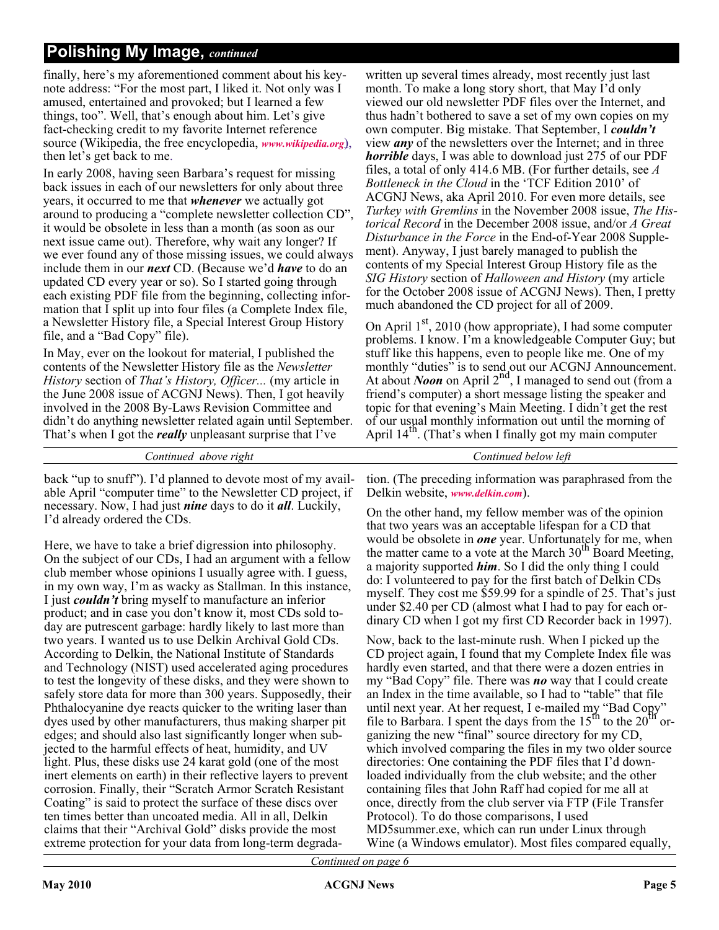finally, here's my aforementioned comment about his keynote address: "For the most part, I liked it. Not only was I amused, entertained and provoked; but I learned a few things, too". Well, that's enough about him. Let's give fact-checking credit to my favorite Internet reference source (Wikipedia, the free encyclopedia, *[www.wikipedia.org](http://www.wikipedia.org)*), then let's get back to me.

In early 2008, having seen Barbara's request for missing back issues in each of our newsletters for only about three years, it occurred to me that *whenever* we actually got around to producing a "complete newsletter collection CD", it would be obsolete in less than a month (as soon as our next issue came out). Therefore, why wait any longer? If we ever found any of those missing issues, we could always include them in our *next* CD. (Because we'd *have* to do an updated CD every year or so). So I started going through each existing PDF file from the beginning, collecting information that I split up into four files (a Complete Index file, a Newsletter History file, a Special Interest Group History file, and a "Bad Copy" file).

In May, ever on the lookout for material, I published the contents of the Newsletter History file as the *Newsletter History* section of *That's History, Officer...* (my article in the June 2008 issue of ACGNJ News). Then, I got heavily involved in the 2008 By-Laws Revision Committee and didn't do anything newsletter related again until September. That's when I got the *really* unpleasant surprise that I've

back "up to snuff"). I'd planned to devote most of my available April "computer time" to the Newsletter CD project, if necessary. Now, I had just *nine* days to do it *all*. Luckily,

Here, we have to take a brief digression into philosophy.

I'd already ordered the CDs.

written up several times already, most recently just last month. To make a long story short, that May I'd only viewed our old newsletter PDF files over the Internet, and thus hadn't bothered to save a set of my own copies on my own computer. Big mistake. That September, I *couldn't* view *any* of the newsletters over the Internet; and in three *horrible* days, I was able to download just 275 of our PDF files, a total of only 414.6 MB. (For further details, see *A Bottleneck in the Cloud* in the 'TCF Edition 2010' of ACGNJ News, aka April 2010. For even more details, see *Turkey with Gremlins* in the November 2008 issue, *The Historical Record* in the December 2008 issue, and/or *A Great Disturbance in the Force* in the End-of-Year 2008 Supplement). Anyway, I just barely managed to publish the contents of my Special Interest Group History file as the *SIG History* section of *Halloween and History* (my article for the October 2008 issue of ACGNJ News). Then, I pretty much abandoned the CD project for all of 2009.

On April  $1<sup>st</sup>$ , 2010 (how appropriate), I had some computer problems. I know. I'm a knowledgeable Computer Guy; but stuff like this happens, even to people like me. One of my monthly "duties" is to send out our ACGNJ Announcement.<br>At about *Noon* on April 2<sup>nd</sup>, I managed to send out (from a friend's computer) a short message listing the speaker and topic for that evening's Main Meeting. I didn't get the rest of our usual monthly information out until the morning of April  $14<sup>th</sup>$ . (That's when I finally got my main computer

*Continued above right Continued below left*

tion. (The preceding information was paraphrased from the Delkin website, *[www.delkin.com](http://www.delkin.com)*).

On the other hand, my fellow member was of the opinion that two years was an acceptable lifespan for a CD that would be obsolete in *one* year. Unfortunately for me, when the matter came to a vote at the March 30<sup>th</sup> Board Meeting, a majority supported *him*. So I did the only thing I could do: I volunteered to pay for the first batch of Delkin CDs myself. They cost me \$59.99 for a spindle of 25. That's just under \$2.40 per CD (almost what I had to pay for each ordinary CD when I got my first CD Recorder back in 1997).

Now, back to the last-minute rush. When I picked up the CD project again, I found that my Complete Index file was hardly even started, and that there were a dozen entries in my "Bad Copy" file. There was *no* way that I could create an Index in the time available, so I had to "table" that file until next year. At her request, I e-mailed my "Bad Copy" file to Barbara. I spent the days from the  $15<sup>th</sup>$  to the  $20<sup>th</sup>$  organizing the new "final" source directory for my CD, which involved comparing the files in my two older source directories: One containing the PDF files that I'd downloaded individually from the club website; and the other containing files that John Raff had copied for me all at once, directly from the club server via FTP (File Transfer Protocol). To do those comparisons, I used MD5summer.exe, which can run under Linux through Wine (a Windows emulator). Most files compared equally,

On the subject of our CDs, I had an argument with a fellow club member whose opinions I usually agree with. I guess, in my own way, I'm as wacky as Stallman. In this instance, I just *couldn't* bring myself to manufacture an inferior product; and in case you don't know it, most CDs sold today are putrescent garbage: hardly likely to last more than two years. I wanted us to use Delkin Archival Gold CDs. According to Delkin, the National Institute of Standards and Technology (NIST) used accelerated aging procedures to test the longevity of these disks, and they were shown to safely store data for more than 300 years. Supposedly, their Phthalocyanine dye reacts quicker to the writing laser than dyes used by other manufacturers, thus making sharper pit edges; and should also last significantly longer when subjected to the harmful effects of heat, humidity, and UV light. Plus, these disks use 24 karat gold (one of the most inert elements on earth) in their reflective layers to prevent corrosion. Finally, their "Scratch Armor Scratch Resistant Coating" is said to protect the surface of these discs over ten times better than uncoated media. All in all, Delkin claims that their "Archival Gold" disks provide the most extreme protection for your data from long-term degrada-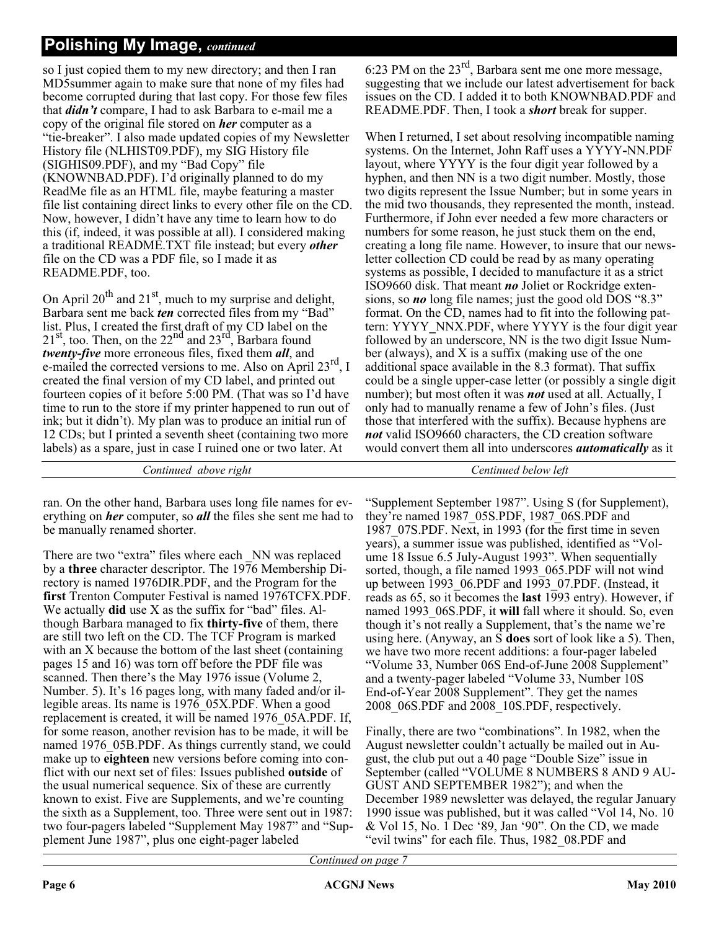so I just copied them to my new directory; and then I ran MD5summer again to make sure that none of my files had become corrupted during that last copy. For those few files that *didn't* compare, I had to ask Barbara to e-mail me a copy of the original file stored on *her* computer as a "tie-breaker". I also made updated copies of my Newsletter History file (NLHIST09.PDF), my SIG History file (SIGHIS09.PDF), and my "Bad Copy" file (KNOWNBAD.PDF). I'd originally planned to do my ReadMe file as an HTML file, maybe featuring a master file list containing direct links to every other file on the CD. Now, however, I didn't have any time to learn how to do this (if, indeed, it was possible at all). I considered making a traditional README.TXT file instead; but every *other* file on the CD was a PDF file, so I made it as README.PDF, too.

On April  $20^{th}$  and  $21^{st}$ , much to my surprise and delight, Barbara sent me back *ten* corrected files from my "Bad" list. Plus, I created the first draft of my CD label on the  $21<sup>st</sup>$ , too. Then, on the  $22<sup>nd</sup>$  and  $23<sup>rd</sup>$ , Barbara found *twenty-five* more erroneous files, fixed them *all*, and e-mailed the corrected versions to me. Also on April 23<sup>rd</sup>, I created the final version of my CD label, and printed out fourteen copies of it before 5:00 PM. (That was so I'd have time to run to the store if my printer happened to run out of ink; but it didn't). My plan was to produce an initial run of 12 CDs; but I printed a seventh sheet (containing two more labels) as a spare, just in case I ruined one or two later. At

*Continued above right Centinued below left*

ran. On the other hand, Barbara uses long file names for everything on *her* computer, so *all* the files she sent me had to be manually renamed shorter.

There are two "extra" files where each NN was replaced by a **three** character descriptor. The 1976 Membership Directory is named 1976DIR.PDF, and the Program for the **first** Trenton Computer Festival is named 1976TCFX.PDF. We actually **did** use X as the suffix for "bad" files. Although Barbara managed to fix **thirty-five** of them, there are still two left on the CD. The TCF Program is marked with an X because the bottom of the last sheet (containing pages 15 and 16) was torn off before the PDF file was scanned. Then there's the May 1976 issue (Volume 2, Number. 5). It's 16 pages long, with many faded and/or illegible areas. Its name is 1976\_05X.PDF. When a good replacement is created, it will be named 1976\_05A.PDF. If, for some reason, another revision has to be made, it will be named 1976 05B.PDF. As things currently stand, we could make up to **eighteen** new versions before coming into conflict with our next set of files: Issues published **outside** of the usual numerical sequence. Six of these are currently known to exist. Five are Supplements, and we're counting the sixth as a Supplement, too. Three were sent out in 1987: two four-pagers labeled "Supplement May 1987" and "Supplement June 1987", plus one eight-pager labeled

6:23 PM on the  $23<sup>rd</sup>$ , Barbara sent me one more message, suggesting that we include our latest advertisement for back issues on the CD. I added it to both KNOWNBAD.PDF and README.PDF. Then, I took a *short* break for supper.

When I returned, I set about resolving incompatible naming systems. On the Internet, John Raff uses a YYYY**-**NN.PDF layout, where YYYY is the four digit year followed by a hyphen, and then NN is a two digit number. Mostly, those two digits represent the Issue Number; but in some years in the mid two thousands, they represented the month, instead. Furthermore, if John ever needed a few more characters or numbers for some reason, he just stuck them on the end, creating a long file name. However, to insure that our newsletter collection CD could be read by as many operating systems as possible, I decided to manufacture it as a strict ISO9660 disk. That meant *no* Joliet or Rockridge extensions, so *no* long file names; just the good old DOS "8.3" format. On the CD, names had to fit into the following pattern: YYYY**\_**NNX.PDF, where YYYY is the four digit year followed by an underscore, NN is the two digit Issue Number (always), and X is a suffix (making use of the one additional space available in the 8.3 format). That suffix could be a single upper-case letter (or possibly a single digit number); but most often it was *not* used at all. Actually, I only had to manually rename a few of John's files. (Just those that interfered with the suffix). Because hyphens are *not* valid ISO9660 characters, the CD creation software would convert them all into underscores *automatically* as it

"Supplement September 1987". Using S (for Supplement), they're named 1987 05S.PDF, 1987 06S.PDF and 1987\_07S.PDF. Next, in 1993 (for the first time in seven years), a summer issue was published, identified as "Volume 18 Issue 6.5 July-August 1993". When sequentially sorted, though, a file named 1993 065.PDF will not wind up between 1993\_06.PDF and 1993\_07.PDF. (Instead, it reads as 65, so it becomes the **last** 1993 entry). However, if named 1993\_06S.PDF, it **will** fall where it should. So, even though it's not really a Supplement, that's the name we're using here. (Anyway, an S **does** sort of look like a 5). Then, we have two more recent additions: a four-pager labeled "Volume 33, Number 06S End-of-June 2008 Supplement" and a twenty-pager labeled "Volume 33, Number 10S End-of-Year 2008 Supplement". They get the names 2008 06S.PDF and 2008 10S.PDF, respectively.

Finally, there are two "combinations". In 1982, when the August newsletter couldn't actually be mailed out in August, the club put out a 40 page "Double Size" issue in September (called "VOLUME 8 NUMBERS 8 AND 9 AU-GUST AND SEPTEMBER 1982"); and when the December 1989 newsletter was delayed, the regular January 1990 issue was published, but it was called "Vol 14, No. 10 & Vol 15, No. 1 Dec '89, Jan '90". On the CD, we made "evil twins" for each file. Thus, 1982\_08.PDF and

*Continued on page 7*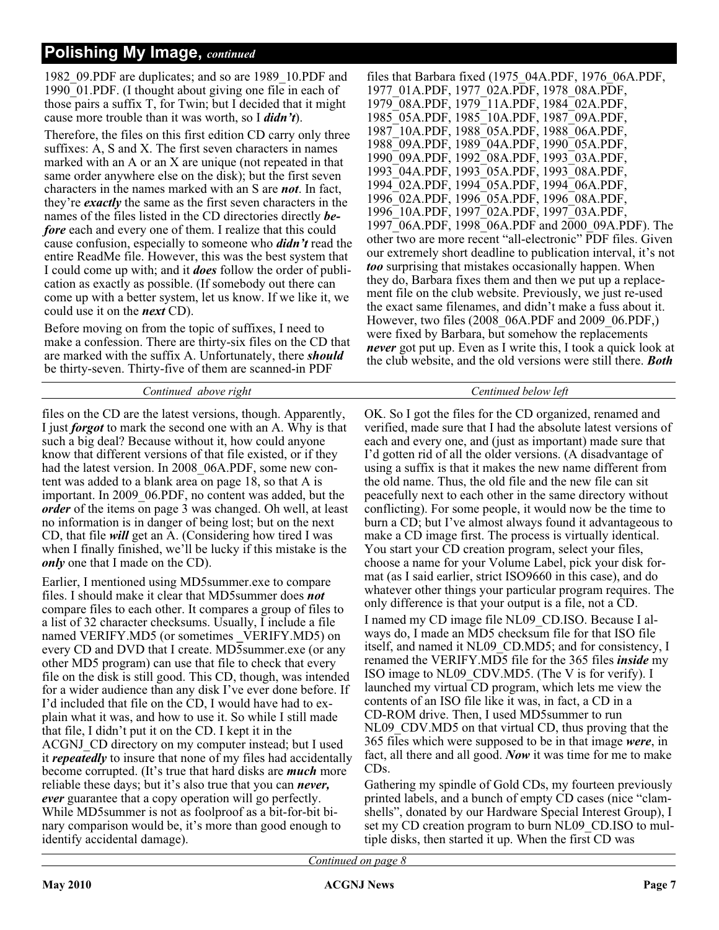1982\_09.PDF are duplicates; and so are 1989\_10.PDF and 1990 $\overline{01}$ .PDF. (I thought about giving one file in each of those pairs a suffix T, for Twin; but I decided that it might cause more trouble than it was worth, so I *didn't*).

Therefore, the files on this first edition CD carry only three suffixes: A, S and X. The first seven characters in names marked with an A or an X are unique (not repeated in that same order anywhere else on the disk); but the first seven characters in the names marked with an S are *not*. In fact, they're *exactly* the same as the first seven characters in the names of the files listed in the CD directories directly *before* each and every one of them. I realize that this could cause confusion, especially to someone who *didn't* read the entire ReadMe file. However, this was the best system that I could come up with; and it *does* follow the order of publication as exactly as possible. (If somebody out there can come up with a better system, let us know. If we like it, we could use it on the *next* CD).

Before moving on from the topic of suffixes, I need to make a confession. There are thirty-six files on the CD that are marked with the suffix A. Unfortunately, there *should* be thirty-seven. Thirty-five of them are scanned-in PDF

#### *Continued above right Centinued below left*

files on the CD are the latest versions, though. Apparently, I just *forgot* to mark the second one with an A. Why is that such a big deal? Because without it, how could anyone know that different versions of that file existed, or if they had the latest version. In 2008 06A.PDF, some new content was added to a blank area on page 18, so that A is important. In 2009\_06.PDF, no content was added, but the *order* of the items on page 3 was changed. Oh well, at least no information is in danger of being lost; but on the next CD, that file *will* get an A. (Considering how tired I was when I finally finished, we'll be lucky if this mistake is the *only* one that I made on the CD).

Earlier, I mentioned using MD5summer.exe to compare files. I should make it clear that MD5summer does *not* compare files to each other. It compares a group of files to a list of 32 character checksums. Usually, I include a file named VERIFY.MD5 (or sometimes VERIFY.MD5) on every CD and DVD that I create. MD5summer.exe (or any other MD5 program) can use that file to check that every file on the disk is still good. This CD, though, was intended for a wider audience than any disk I've ever done before. If I'd included that file on the CD, I would have had to explain what it was, and how to use it. So while I still made that file, I didn't put it on the CD. I kept it in the ACGNJ\_CD directory on my computer instead; but I used it *repeatedly* to insure that none of my files had accidentally become corrupted. (It's true that hard disks are *much* more reliable these days; but it's also true that you can *never, ever* guarantee that a copy operation will go perfectly. While MD5summer is not as foolproof as a bit-for-bit binary comparison would be, it's more than good enough to identify accidental damage).

files that Barbara fixed (1975\_04A.PDF, 1976\_06A.PDF, 1977\_01A.PDF, 1977\_02A.PDF, 1978\_08A.PDF, 1979\_08A.PDF, 1979\_11A.PDF, 1984\_02A.PDF, 1985\_05A.PDF, 1985\_10A.PDF, 1987\_09A.PDF, 1987\_10A.PDF, 1988\_05A.PDF, 1988\_06A.PDF, 1988\_09A.PDF, 1989\_04A.PDF, 1990\_05A.PDF, 1990\_09A.PDF, 1992\_08A.PDF, 1993\_03A.PDF, 1993\_04A.PDF, 1993\_05A.PDF, 1993\_08A.PDF, 1994\_02A.PDF, 1994\_05A.PDF, 1994\_06A.PDF, 1996\_02A.PDF, 1996\_05A.PDF, 1996\_08A.PDF, 1996\_10A.PDF, 1997\_02A.PDF, 1997\_03A.PDF, 1997\_06A.PDF, 1998\_06A.PDF and 2000\_09A.PDF). The other two are more recent "all-electronic" PDF files. Given our extremely short deadline to publication interval, it's not *too* surprising that mistakes occasionally happen. When they do, Barbara fixes them and then we put up a replacement file on the club website. Previously, we just re-used the exact same filenames, and didn't make a fuss about it. However, two files (2008\_06A.PDF and 2009\_06.PDF,) were fixed by Barbara, but somehow the replacements *never* got put up. Even as I write this, I took a quick look at the club website, and the old versions were still there. *Both*

OK. So I got the files for the CD organized, renamed and verified, made sure that I had the absolute latest versions of each and every one, and (just as important) made sure that I'd gotten rid of all the older versions. (A disadvantage of using a suffix is that it makes the new name different from the old name. Thus, the old file and the new file can sit peacefully next to each other in the same directory without conflicting). For some people, it would now be the time to burn a CD; but I've almost always found it advantageous to make a CD image first. The process is virtually identical. You start your CD creation program, select your files, choose a name for your Volume Label, pick your disk format (as I said earlier, strict ISO9660 in this case), and do whatever other things your particular program requires. The only difference is that your output is a file, not a CD. I named my CD image file NL09\_CD.ISO. Because I always do, I made an MD5 checksum file for that ISO file itself, and named it NL09\_CD.MD5; and for consistency, I renamed the VERIFY.MD5 file for the 365 files *inside* my ISO image to NL09\_CDV.MD5. (The V is for verify). I launched my virtual CD program, which lets me view the contents of an ISO file like it was, in fact, a CD in a CD-ROM drive. Then, I used MD5summer to run NL09 CDV.MD5 on that virtual CD, thus proving that the 365 files which were supposed to be in that image *were*, in fact, all there and all good. *Now* it was time for me to make CDs.

Gathering my spindle of Gold CDs, my fourteen previously printed labels, and a bunch of empty CD cases (nice "clamshells", donated by our Hardware Special Interest Group), I set my CD creation program to burn NL09 CD.ISO to multiple disks, then started it up. When the first CD was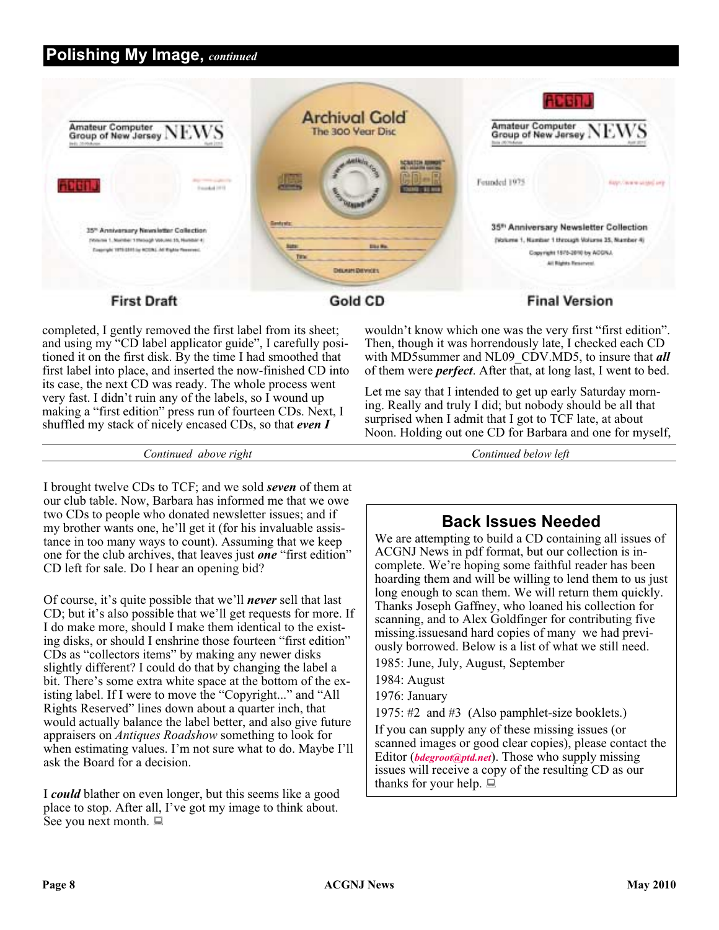

#### **First Draft**

Gold CD

completed, I gently removed the first label from its sheet; and using my "CD label applicator guide", I carefully positioned it on the first disk. By the time I had smoothed that first label into place, and inserted the now-finished CD into its case, the next CD was ready. The whole process went very fast. I didn't ruin any of the labels, so I wound up making a "first edition" press run of fourteen CDs. Next, I shuffled my stack of nicely encased CDs, so that *even I*

wouldn't know which one was the very first "first edition". Then, though it was horrendously late, I checked each CD with MD5summer and NL09\_CDV.MD5, to insure that *all* of them were *perfect*. After that, at long last, I went to bed.

Let me say that I intended to get up early Saturday morning. Really and truly I did; but nobody should be all that surprised when I admit that I got to TCF late, at about Noon. Holding out one CD for Barbara and one for myself,

*Continued above right Continued below left*

I brought twelve CDs to TCF; and we sold *seven* of them at our club table. Now, Barbara has informed me that we owe two CDs to people who donated newsletter issues; and if my brother wants one, he'll get it (for his invaluable assistance in too many ways to count). Assuming that we keep one for the club archives, that leaves just *one* "first edition" CD left for sale. Do I hear an opening bid?

Of course, it's quite possible that we'll *never* sell that last CD; but it's also possible that we'll get requests for more. If I do make more, should I make them identical to the existing disks, or should I enshrine those fourteen "first edition" CDs as "collectors items" by making any newer disks slightly different? I could do that by changing the label a bit. There's some extra white space at the bottom of the existing label. If I were to move the "Copyright..." and "All Rights Reserved" lines down about a quarter inch, that would actually balance the label better, and also give future appraisers on *Antiques Roadshow* something to look for when estimating values. I'm not sure what to do. Maybe I'll ask the Board for a decision.

I *could* blather on even longer, but this seems like a good place to stop. After all, I've got my image to think about. See you next month.  $\Box$ 

### **Back Issues Needed**

We are attempting to build a CD containing all issues of ACGNJ News in pdf format, but our collection is incomplete. We're hoping some faithful reader has been hoarding them and will be willing to lend them to us just long enough to scan them. We will return them quickly. Thanks Joseph Gaffney, who loaned his collection for scanning, and to Alex Goldfinger for contributing five missing.issuesand hard copies of many we had previously borrowed. Below is a list of what we still need.

1985: June, July, August, September

1984: August

1976: January

1975: #2 and #3 (Also pamphlet-size booklets.)

If you can supply any of these missing issues (or scanned images or good clear copies), please contact the Editor (*[bdegroot@ptd.net](mailto:bdegroot@ptd.net)*). Those who supply missing issues will receive a copy of the resulting CD as our thanks for your help.  $\Box$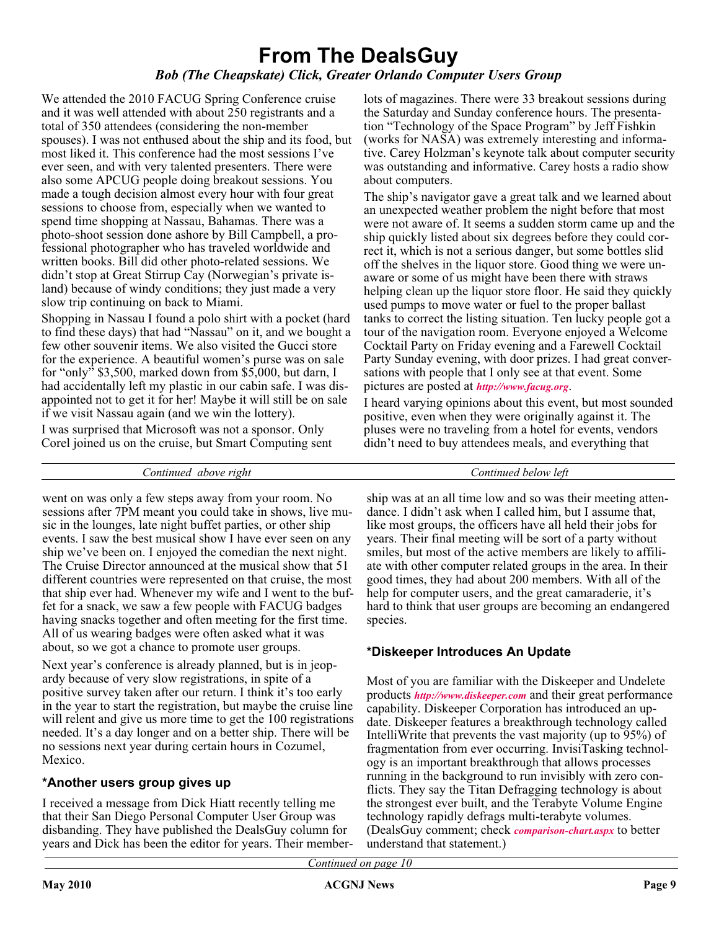### **From The DealsGuy** *Bob (The Cheapskate) Click, Greater Orlando Computer Users Group*

We attended the 2010 FACUG Spring Conference cruise and it was well attended with about 250 registrants and a total of 350 attendees (considering the non-member spouses). I was not enthused about the ship and its food, but most liked it. This conference had the most sessions I've ever seen, and with very talented presenters. There were also some APCUG people doing breakout sessions. You made a tough decision almost every hour with four great sessions to choose from, especially when we wanted to spend time shopping at Nassau, Bahamas. There was a photo-shoot session done ashore by Bill Campbell, a professional photographer who has traveled worldwide and written books. Bill did other photo-related sessions. We didn't stop at Great Stirrup Cay (Norwegian's private island) because of windy conditions; they just made a very slow trip continuing on back to Miami.

Shopping in Nassau I found a polo shirt with a pocket (hard to find these days) that had "Nassau" on it, and we bought a few other souvenir items. We also visited the Gucci store for the experience. A beautiful women's purse was on sale for "only" \$3,500, marked down from \$5,000, but darn, I had accidentally left my plastic in our cabin safe. I was disappointed not to get it for her! Maybe it will still be on sale if we visit Nassau again (and we win the lottery).

I was surprised that Microsoft was not a sponsor. Only Corel joined us on the cruise, but Smart Computing sent

lots of magazines. There were 33 breakout sessions during the Saturday and Sunday conference hours. The presentation "Technology of the Space Program" by Jeff Fishkin (works for NASA) was extremely interesting and informative. Carey Holzman's keynote talk about computer security was outstanding and informative. Carey hosts a radio show about computers.

The ship's navigator gave a great talk and we learned about an unexpected weather problem the night before that most were not aware of. It seems a sudden storm came up and the ship quickly listed about six degrees before they could correct it, which is not a serious danger, but some bottles slid off the shelves in the liquor store. Good thing we were unaware or some of us might have been there with straws helping clean up the liquor store floor. He said they quickly used pumps to move water or fuel to the proper ballast tanks to correct the listing situation. Ten lucky people got a tour of the navigation room. Everyone enjoyed a Welcome Cocktail Party on Friday evening and a Farewell Cocktail Party Sunday evening, with door prizes. I had great conversations with people that I only see at that event. Some pictures are posted at *<http://www.facug.org>*.

I heard varying opinions about this event, but most sounded positive, even when they were originally against it. The pluses were no traveling from a hotel for events, vendors didn't need to buy attendees meals, and everything that

*Continued above right Continued below left*

went on was only a few steps away from your room. No sessions after 7PM meant you could take in shows, live music in the lounges, late night buffet parties, or other ship events. I saw the best musical show I have ever seen on any ship we've been on. I enjoyed the comedian the next night. The Cruise Director announced at the musical show that 51 different countries were represented on that cruise, the most that ship ever had. Whenever my wife and I went to the buffet for a snack, we saw a few people with FACUG badges having snacks together and often meeting for the first time. All of us wearing badges were often asked what it was about, so we got a chance to promote user groups.

Next year's conference is already planned, but is in jeopardy because of very slow registrations, in spite of a positive survey taken after our return. I think it's too early in the year to start the registration, but maybe the cruise line will relent and give us more time to get the 100 registrations needed. It's a day longer and on a better ship. There will be no sessions next year during certain hours in Cozumel, Mexico.

#### **\*Another users group gives up**

I received a message from Dick Hiatt recently telling me that their San Diego Personal Computer User Group was disbanding. They have published the DealsGuy column for years and Dick has been the editor for years. Their member-

ship was at an all time low and so was their meeting attendance. I didn't ask when I called him, but I assume that, like most groups, the officers have all held their jobs for years. Their final meeting will be sort of a party without smiles, but most of the active members are likely to affiliate with other computer related groups in the area. In their good times, they had about 200 members. With all of the help for computer users, and the great camaraderie, it's hard to think that user groups are becoming an endangered species.

#### **\*Diskeeper Introduces An Update**

Most of you are familiar with the Diskeeper and Undelete products *<http://www.diskeeper.com>* and their great performance capability. Diskeeper Corporation has introduced an update. Diskeeper features a breakthrough technology called IntelliWrite that prevents the vast majority (up to 95%) of fragmentation from ever occurring. InvisiTasking technology is an important breakthrough that allows processes running in the background to run invisibly with zero conflicts. They say the Titan Defragging technology is about the strongest ever built, and the Terabyte Volume Engine technology rapidly defrags multi-terabyte volumes. (DealsGuy comment; check *[comparison-chart.aspx](http://www.diskeeper.com/diskeeper/home/comparison-chart.aspx)* to better understand that statement.)

*Continued on page 10*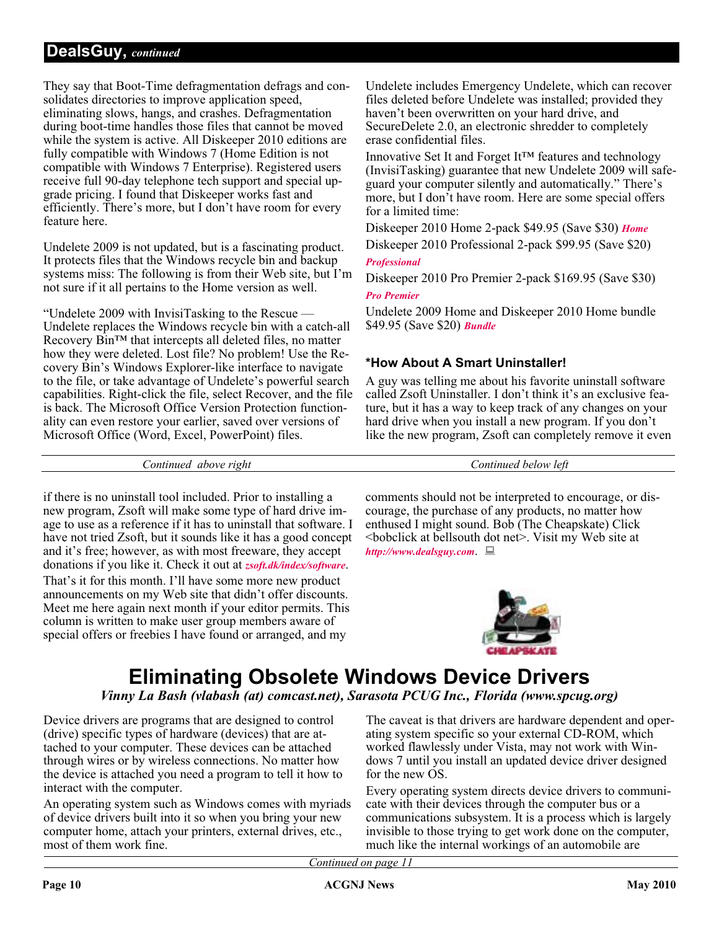#### **DealsGuy,** *continued*

They say that Boot-Time defragmentation defrags and consolidates directories to improve application speed, eliminating slows, hangs, and crashes. Defragmentation during boot-time handles those files that cannot be moved while the system is active. All Diskeeper 2010 editions are fully compatible with Windows 7 (Home Edition is not compatible with Windows 7 Enterprise). Registered users receive full 90-day telephone tech support and special upgrade pricing. I found that Diskeeper works fast and efficiently. There's more, but I don't have room for every feature here.

Undelete 2009 is not updated, but is a fascinating product. It protects files that the Windows recycle bin and backup systems miss: The following is from their Web site, but I'm not sure if it all pertains to the Home version as well.

"Undelete 2009 with InvisiTasking to the Rescue — Undelete replaces the Windows recycle bin with a catch-all Recovery Bin™ that intercepts all deleted files, no matter how they were deleted. Lost file? No problem! Use the Recovery Bin's Windows Explorer-like interface to navigate to the file, or take advantage of Undelete's powerful search capabilities. Right-click the file, select Recover, and the file is back. The Microsoft Office Version Protection functionality can even restore your earlier, saved over versions of Microsoft Office (Word, Excel, PowerPoint) files.

Undelete includes Emergency Undelete, which can recover files deleted before Undelete was installed; provided they haven't been overwritten on your hard drive, and SecureDelete 2.0, an electronic shredder to completely erase confidential files.

Innovative Set It and Forget It™ features and technology (InvisiTasking) guarantee that new Undelete 2009 will safeguard your computer silently and automatically." There's more, but I don't have room. Here are some special offers for a limited time:

Diskeeper 2010 Home 2-pack \$49.95 (Save \$30) *[Home](https://www.diskeeper.com/store/checkout/addtocart.aspx?item=49115&qty=1&srchash=_ioxswm_p)* Diskeeper 2010 Professional 2-pack \$99.95 (Save \$20)

#### *[Professional](https://www.diskeeper.com/store/checkout/addtocart.aspx?item=49365&qty=1&srchash=_ioxswm_p)*

Diskeeper 2010 Pro Premier 2-pack \$169.95 (Save \$30)

#### *[Pro Premier](https://www.diskeeper.com/store/checkout/addtocart.aspx?item=49366&qty=1&srchash=_ioxswm_p)*

Undelete 2009 Home and Diskeeper 2010 Home bundle \$49.95 (Save \$20) *[Bundle](http://www.diskeeper.com/store/checkout/addtocart.aspx?item=50519&qty=1&srchash=_ioxswm_p)*

#### **\*How About A Smart Uninstaller!**

A guy was telling me about his favorite uninstall software called Zsoft Uninstaller. I don't think it's an exclusive feature, but it has a way to keep track of any changes on your hard drive when you install a new program. If you don't like the new program, Zsoft can completely remove it even

*Continued above right Continued below left*

if there is no uninstall tool included. Prior to installing a new program, Zsoft will make some type of hard drive image to use as a reference if it has to uninstall that software. I have not tried Zsoft, but it sounds like it has a good concept and it's free; however, as with most freeware, they accept donations if you like it. Check it out at *[zsoft.dk/index/software](http://www.zsoft.dk/index/software)*. That's it for this month. I'll have some more new product announcements on my Web site that didn't offer discounts. Meet me here again next month if your editor permits. This column is written to make user group members aware of special offers or freebies I have found or arranged, and my

comments should not be interpreted to encourage, or discourage, the purchase of any products, no matter how enthused I might sound. Bob (The Cheapskate) Click <bobclick at bellsouth dot net>. Visit my Web site at *<http://www.dealsguy.com>*.



## **Eliminating Obsolete Windows Device Drivers**

*Vinny La Bash (vlabash (at) comcast.net), Sarasota PCUG Inc., Florida (www.spcug.org)*

Device drivers are programs that are designed to control (drive) specific types of hardware (devices) that are attached to your computer. These devices can be attached through wires or by wireless connections. No matter how the device is attached you need a program to tell it how to interact with the computer.

An operating system such as Windows comes with myriads of device drivers built into it so when you bring your new computer home, attach your printers, external drives, etc., most of them work fine.

The caveat is that drivers are hardware dependent and operating system specific so your external CD-ROM, which worked flawlessly under Vista, may not work with Windows 7 until you install an updated device driver designed for the new OS.

Every operating system directs device drivers to communicate with their devices through the computer bus or a communications subsystem. It is a process which is largely invisible to those trying to get work done on the computer, much like the internal workings of an automobile are

*Continued on page 11*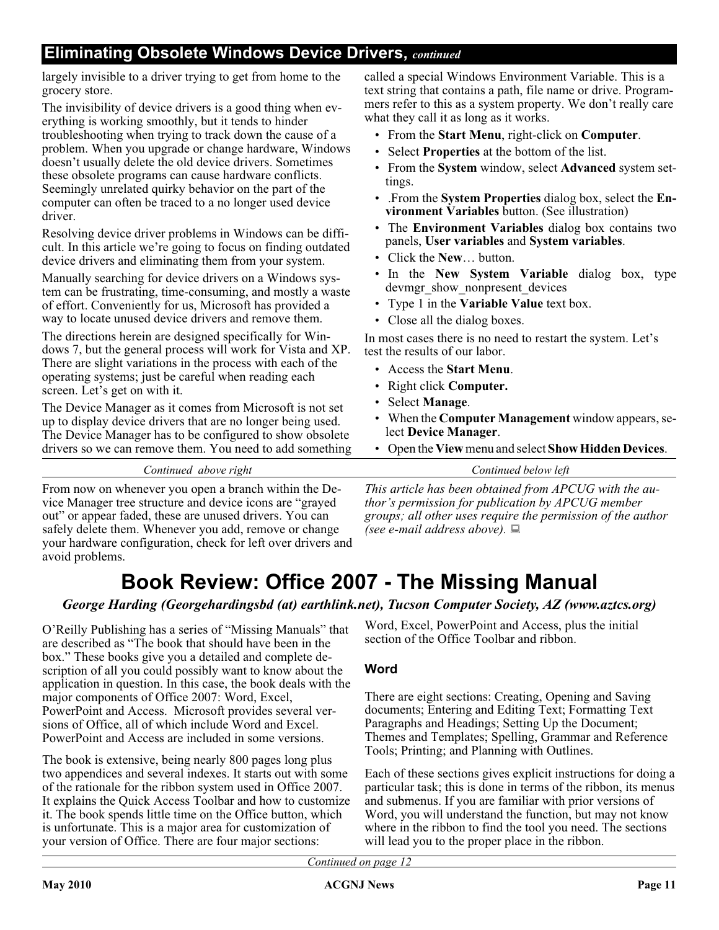### **Eliminating Obsolete Windows Device Drivers,** *continued*

largely invisible to a driver trying to get from home to the grocery store.

The invisibility of device drivers is a good thing when everything is working smoothly, but it tends to hinder troubleshooting when trying to track down the cause of a problem. When you upgrade or change hardware, Windows doesn't usually delete the old device drivers. Sometimes these obsolete programs can cause hardware conflicts. Seemingly unrelated quirky behavior on the part of the computer can often be traced to a no longer used device driver.

Resolving device driver problems in Windows can be difficult. In this article we're going to focus on finding outdated device drivers and eliminating them from your system.

Manually searching for device drivers on a Windows system can be frustrating, time-consuming, and mostly a waste of effort. Conveniently for us, Microsoft has provided a way to locate unused device drivers and remove them.

The directions herein are designed specifically for Windows 7, but the general process will work for Vista and XP. There are slight variations in the process with each of the operating systems; just be careful when reading each screen. Let's get on with it.

The Device Manager as it comes from Microsoft is not set up to display device drivers that are no longer being used. The Device Manager has to be configured to show obsolete drivers so we can remove them. You need to add something called a special Windows Environment Variable. This is a text string that contains a path, file name or drive. Programmers refer to this as a system property. We don't really care what they call it as long as it works.

- From the **Start Menu**, right-click on **Computer**.
- Select **Properties** at the bottom of the list.
- From the **System** window, select **Advanced** system settings.
- .From the **System Properties** dialog box, select the **Environment Variables** button. (See illustration)
- The **Environment Variables** dialog box contains two panels, **User variables** and **System variables**.
- Click the **New**… button.
- In the **New System Variable** dialog box, type devmgr\_show\_nonpresent\_devices
- Type 1 in the **Variable Value** text box.
- Close all the dialog boxes.

In most cases there is no need to restart the system. Let's test the results of our labor.

- Access the **Start Menu**.
- Right click **Computer.**
- Select **Manage**.
- When the **Computer Management** window appears, select **Device Manager**.
- Open the **View**menu and select **Show Hidden Devices**.

*Continued above right Continued below left*

From now on whenever you open a branch within the Device Manager tree structure and device icons are "grayed out" or appear faded, these are unused drivers. You can safely delete them. Whenever you add, remove or change your hardware configuration, check for left over drivers and avoid problems.

*This article has been obtained from APCUG with the author's permission for publication by APCUG member groups; all other uses require the permission of the author (see e-mail address above).*

### **Book Review: Office 2007 - The Missing Manual**

*George Harding (Georgehardingsbd (at) earthlink.net), Tucson Computer Society, AZ (www.aztcs.org)*

O'Reilly Publishing has a series of "Missing Manuals" that are described as "The book that should have been in the box." These books give you a detailed and complete description of all you could possibly want to know about the application in question. In this case, the book deals with the major components of Office 2007: Word, Excel, PowerPoint and Access. Microsoft provides several versions of Office, all of which include Word and Excel. PowerPoint and Access are included in some versions.

The book is extensive, being nearly 800 pages long plus two appendices and several indexes. It starts out with some of the rationale for the ribbon system used in Office 2007. It explains the Quick Access Toolbar and how to customize it. The book spends little time on the Office button, which is unfortunate. This is a major area for customization of your version of Office. There are four major sections:

Word, Excel, PowerPoint and Access, plus the initial section of the Office Toolbar and ribbon.

#### **Word**

There are eight sections: Creating, Opening and Saving documents; Entering and Editing Text; Formatting Text Paragraphs and Headings; Setting Up the Document; Themes and Templates; Spelling, Grammar and Reference Tools; Printing; and Planning with Outlines.

Each of these sections gives explicit instructions for doing a particular task; this is done in terms of the ribbon, its menus and submenus. If you are familiar with prior versions of Word, you will understand the function, but may not know where in the ribbon to find the tool you need. The sections will lead you to the proper place in the ribbon.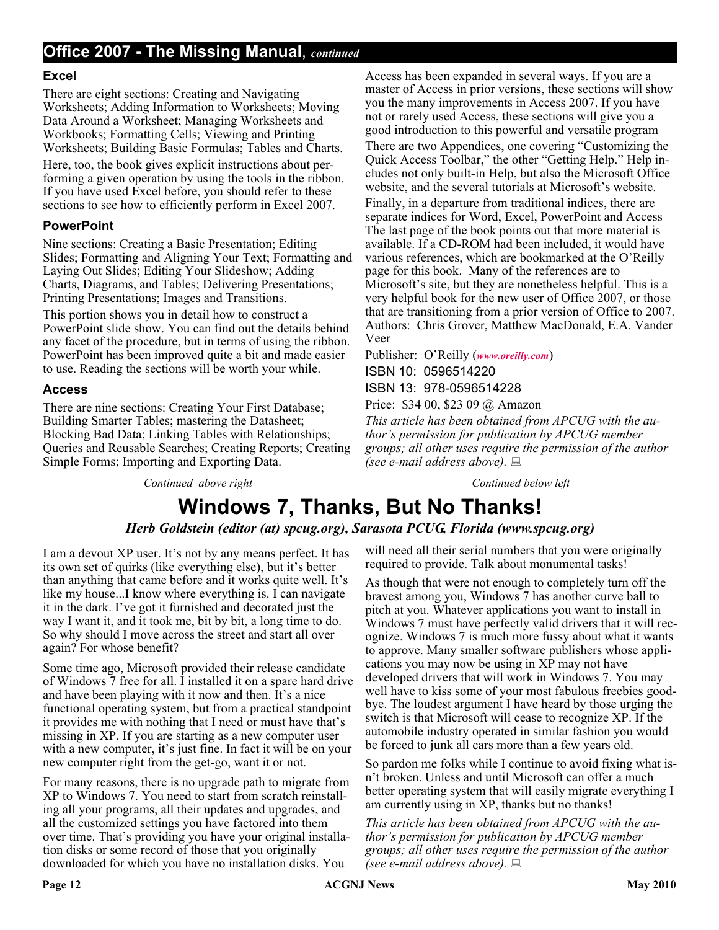#### **Excel**

There are eight sections: Creating and Navigating Worksheets; Adding Information to Worksheets; Moving Data Around a Worksheet; Managing Worksheets and Workbooks; Formatting Cells; Viewing and Printing Worksheets; Building Basic Formulas; Tables and Charts.

Here, too, the book gives explicit instructions about performing a given operation by using the tools in the ribbon. If you have used Excel before, you should refer to these sections to see how to efficiently perform in Excel 2007.

#### **PowerPoint**

Nine sections: Creating a Basic Presentation; Editing Slides; Formatting and Aligning Your Text; Formatting and Laying Out Slides; Editing Your Slideshow; Adding Charts, Diagrams, and Tables; Delivering Presentations; Printing Presentations; Images and Transitions.

This portion shows you in detail how to construct a PowerPoint slide show. You can find out the details behind any facet of the procedure, but in terms of using the ribbon. PowerPoint has been improved quite a bit and made easier to use. Reading the sections will be worth your while.

#### **Access**

There are nine sections: Creating Your First Database; Building Smarter Tables; mastering the Datasheet; Blocking Bad Data; Linking Tables with Relationships; Queries and Reusable Searches; Creating Reports; Creating Simple Forms; Importing and Exporting Data.

Access has been expanded in several ways. If you are a master of Access in prior versions, these sections will show you the many improvements in Access 2007. If you have not or rarely used Access, these sections will give you a good introduction to this powerful and versatile program

There are two Appendices, one covering "Customizing the Quick Access Toolbar," the other "Getting Help." Help includes not only built-in Help, but also the Microsoft Office website, and the several tutorials at Microsoft's website.

Finally, in a departure from traditional indices, there are separate indices for Word, Excel, PowerPoint and Access The last page of the book points out that more material is available. If a CD-ROM had been included, it would have various references, which are bookmarked at the O'Reilly page for this book. Many of the references are to Microsoft's site, but they are nonetheless helpful. This is a very helpful book for the new user of Office 2007, or those that are transitioning from a prior version of Office to 2007. Authors: Chris Grover, Matthew MacDonald, E.A. Vander Veer

Publisher: O'Reilly (*[www.oreilly.com](http://www.oreilly.com)*) ISBN 10: 0596514220 ISBN 13: 978-0596514228

Price: \$34 00, \$23 09 @ Amazon

*This article has been obtained from APCUG with the author's permission for publication by APCUG member groups; all other uses require the permission of the author (see e-mail address above).*

*Continued above right Continued below left*

## **Windows 7, Thanks, But No Thanks!**

#### *Herb Goldstein (editor (at) spcug.org), Sarasota PCUG, Florida (www.spcug.org)*

I am a devout XP user. It's not by any means perfect. It has its own set of quirks (like everything else), but it's better than anything that came before and it works quite well. It's like my house...I know where everything is. I can navigate it in the dark. I've got it furnished and decorated just the way I want it, and it took me, bit by bit, a long time to do. So why should I move across the street and start all over again? For whose benefit?

Some time ago, Microsoft provided their release candidate of Windows 7 free for all. I installed it on a spare hard drive and have been playing with it now and then. It's a nice functional operating system, but from a practical standpoint it provides me with nothing that I need or must have that's missing in XP. If you are starting as a new computer user with a new computer, it's just fine. In fact it will be on your new computer right from the get-go, want it or not.

For many reasons, there is no upgrade path to migrate from XP to Windows 7. You need to start from scratch reinstalling all your programs, all their updates and upgrades, and all the customized settings you have factored into them over time. That's providing you have your original installation disks or some record of those that you originally downloaded for which you have no installation disks. You

will need all their serial numbers that you were originally required to provide. Talk about monumental tasks!

As though that were not enough to completely turn off the bravest among you, Windows 7 has another curve ball to pitch at you. Whatever applications you want to install in Windows 7 must have perfectly valid drivers that it will recognize. Windows 7 is much more fussy about what it wants to approve. Many smaller software publishers whose applications you may now be using in XP may not have developed drivers that will work in Windows 7. You may well have to kiss some of your most fabulous freebies goodbye. The loudest argument I have heard by those urging the switch is that Microsoft will cease to recognize XP. If the automobile industry operated in similar fashion you would be forced to junk all cars more than a few years old.

So pardon me folks while I continue to avoid fixing what isn't broken. Unless and until Microsoft can offer a much better operating system that will easily migrate everything I am currently using in XP, thanks but no thanks!

*This article has been obtained from APCUG with the author's permission for publication by APCUG member groups; all other uses require the permission of the author (see e-mail address above).*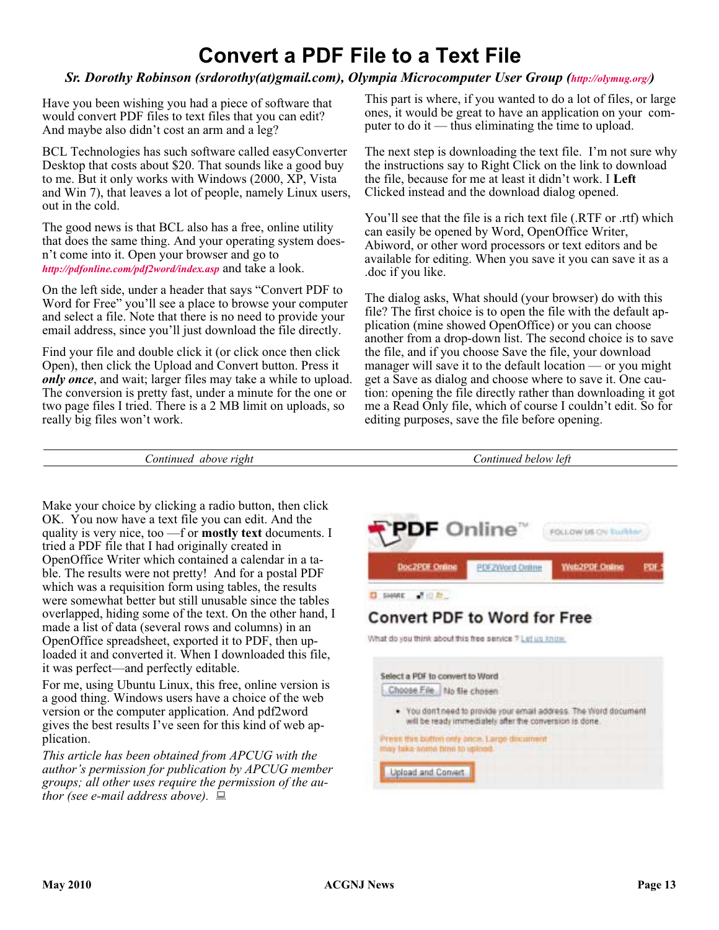### **Convert a PDF File to a Text File**

#### *Sr. Dorothy Robinson (srdorothy(at)gmail.com), Olympia Microcomputer User Group [\(http://olymug.org/\)](http://olymug.org/)*

Have you been wishing you had a piece of software that would convert PDF files to text files that you can edit? And maybe also didn't cost an arm and a leg?

BCL Technologies has such software called easyConverter Desktop that costs about \$20. That sounds like a good buy to me. But it only works with Windows (2000, XP, Vista and Win 7), that leaves a lot of people, namely Linux users, out in the cold.

The good news is that BCL also has a free, online utility that does the same thing. And your operating system doesn't come into it. Open your browser and go to *<http://pdfonline.com/pdf2word/index.asp>* and take a look.

On the left side, under a header that says "Convert PDF to Word for Free" you'll see a place to browse your computer and select a file. Note that there is no need to provide your email address, since you'll just download the file directly.

Find your file and double click it (or click once then click Open), then click the Upload and Convert button. Press it *only once*, and wait; larger files may take a while to upload. The conversion is pretty fast, under a minute for the one or two page files I tried. There is a 2 MB limit on uploads, so really big files won't work.

This part is where, if you wanted to do a lot of files, or large ones, it would be great to have an application on your computer to do it — thus eliminating the time to upload.

The next step is downloading the text file. I'm not sure why the instructions say to Right Click on the link to download the file, because for me at least it didn't work. I **Left** Clicked instead and the download dialog opened.

You'll see that the file is a rich text file (.RTF or .rtf) which can easily be opened by Word, OpenOffice Writer, Abiword, or other word processors or text editors and be available for editing. When you save it you can save it as a .doc if you like.

The dialog asks, What should (your browser) do with this file? The first choice is to open the file with the default application (mine showed OpenOffice) or you can choose another from a drop-down list. The second choice is to save the file, and if you choose Save the file, your download manager will save it to the default location — or you might get a Save as dialog and choose where to save it. One caution: opening the file directly rather than downloading it got me a Read Only file, which of course I couldn't edit. So for editing purposes, save the file before opening.

*Continued above right Continued below left*

Make your choice by clicking a radio button, then click OK. You now have a text file you can edit. And the quality is very nice, too —f or **mostly text** documents. I tried a PDF file that I had originally created in OpenOffice Writer which contained a calendar in a table. The results were not pretty! And for a postal PDF which was a requisition form using tables, the results were somewhat better but still unusable since the tables overlapped, hiding some of the text. On the other hand, I made a list of data (several rows and columns) in an OpenOffice spreadsheet, exported it to PDF, then uploaded it and converted it. When I downloaded this file, it was perfect—and perfectly editable.

For me, using Ubuntu Linux, this free, online version is a good thing. Windows users have a choice of the web version or the computer application. And pdf2word gives the best results I've seen for this kind of web application.

*This article has been obtained from APCUG with the author's permission for publication by APCUG member groups; all other uses require the permission of the author (see e-mail address above).*

**PDF** Online" FOLLOW US ON THIRD **Doc2PDF Online PDF2Word Online** Web2PDF Online D SHARE - 2 (2) **Convert PDF to Word for Free** What do you think about this free service ? Let us know.

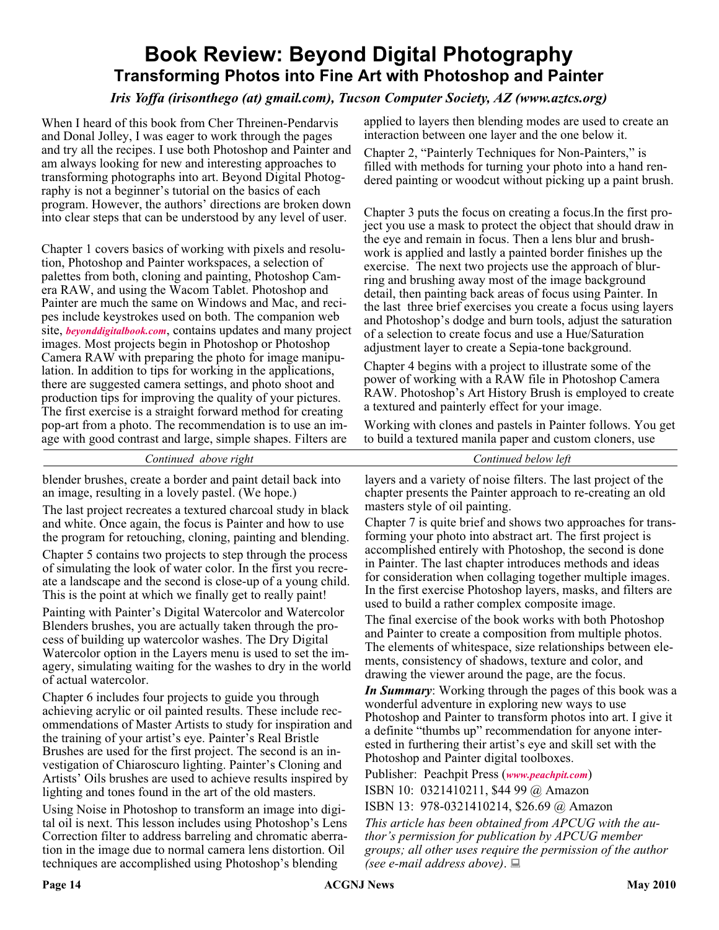### **Book Review: Beyond Digital Photography Transforming Photos into Fine Art with Photoshop and Painter**

#### *Iris Yoffa (irisonthego (at) gmail.com), Tucson Computer Society, AZ (www.aztcs.org)*

When I heard of this book from Cher Threinen-Pendarvis and Donal Jolley, I was eager to work through the pages and try all the recipes. I use both Photoshop and Painter and am always looking for new and interesting approaches to transforming photographs into art. Beyond Digital Photography is not a beginner's tutorial on the basics of each program. However, the authors' directions are broken down into clear steps that can be understood by any level of user.

Chapter 1 covers basics of working with pixels and resolution, Photoshop and Painter workspaces, a selection of palettes from both, cloning and painting, Photoshop Camera RAW, and using the Wacom Tablet. Photoshop and Painter are much the same on Windows and Mac, and recipes include keystrokes used on both. The companion web site, *[beyonddigitalbook.com](http://www.beyonddigitalbook.com)*, contains updates and many project images. Most projects begin in Photoshop or Photoshop Camera RAW with preparing the photo for image manipulation. In addition to tips for working in the applications, there are suggested camera settings, and photo shoot and production tips for improving the quality of your pictures. The first exercise is a straight forward method for creating pop-art from a photo. The recommendation is to use an image with good contrast and large, simple shapes. Filters are

applied to layers then blending modes are used to create an interaction between one layer and the one below it.

Chapter 2, "Painterly Techniques for Non-Painters," is filled with methods for turning your photo into a hand rendered painting or woodcut without picking up a paint brush.

Chapter 3 puts the focus on creating a focus.In the first project you use a mask to protect the object that should draw in the eye and remain in focus. Then a lens blur and brushwork is applied and lastly a painted border finishes up the exercise. The next two projects use the approach of blurring and brushing away most of the image background detail, then painting back areas of focus using Painter. In the last three brief exercises you create a focus using layers and Photoshop's dodge and burn tools, adjust the saturation of a selection to create focus and use a Hue/Saturation adjustment layer to create a Sepia-tone background.

Chapter 4 begins with a project to illustrate some of the power of working with a RAW file in Photoshop Camera RAW. Photoshop's Art History Brush is employed to create a textured and painterly effect for your image.

Working with clones and pastels in Painter follows. You get to build a textured manila paper and custom cloners, use

*Continued above right Continued below left*

blender brushes, create a border and paint detail back into an image, resulting in a lovely pastel. (We hope.)

The last project recreates a textured charcoal study in black and white. Once again, the focus is Painter and how to use the program for retouching, cloning, painting and blending.

Chapter 5 contains two projects to step through the process of simulating the look of water color. In the first you recreate a landscape and the second is close-up of a young child. This is the point at which we finally get to really paint!

Painting with Painter's Digital Watercolor and Watercolor Blenders brushes, you are actually taken through the process of building up watercolor washes. The Dry Digital Watercolor option in the Layers menu is used to set the imagery, simulating waiting for the washes to dry in the world of actual watercolor.

Chapter 6 includes four projects to guide you through achieving acrylic or oil painted results. These include recommendations of Master Artists to study for inspiration and the training of your artist's eye. Painter's Real Bristle Brushes are used for the first project. The second is an investigation of Chiaroscuro lighting. Painter's Cloning and Artists' Oils brushes are used to achieve results inspired by lighting and tones found in the art of the old masters.

Using Noise in Photoshop to transform an image into digital oil is next. This lesson includes using Photoshop's Lens Correction filter to address barreling and chromatic aberration in the image due to normal camera lens distortion. Oil techniques are accomplished using Photoshop's blending

layers and a variety of noise filters. The last project of the chapter presents the Painter approach to re-creating an old masters style of oil painting.

Chapter 7 is quite brief and shows two approaches for transforming your photo into abstract art. The first project is accomplished entirely with Photoshop, the second is done in Painter. The last chapter introduces methods and ideas for consideration when collaging together multiple images. In the first exercise Photoshop layers, masks, and filters are used to build a rather complex composite image.

The final exercise of the book works with both Photoshop and Painter to create a composition from multiple photos. The elements of whitespace, size relationships between elements, consistency of shadows, texture and color, and drawing the viewer around the page, are the focus.

*In Summary*: Working through the pages of this book was a wonderful adventure in exploring new ways to use Photoshop and Painter to transform photos into art. I give it a definite "thumbs up" recommendation for anyone interested in furthering their artist's eye and skill set with the Photoshop and Painter digital toolboxes.

Publisher: Peachpit Press (*[www.peachpit.com](http://www.peachpit.com)*) ISBN 10: 0321410211, \$44 99 @ Amazon

ISBN 13: 978-0321410214, \$26.69 @ Amazon

*This article has been obtained from APCUG with the author's permission for publication by APCUG member groups; all other uses require the permission of the author (see e-mail address above)*.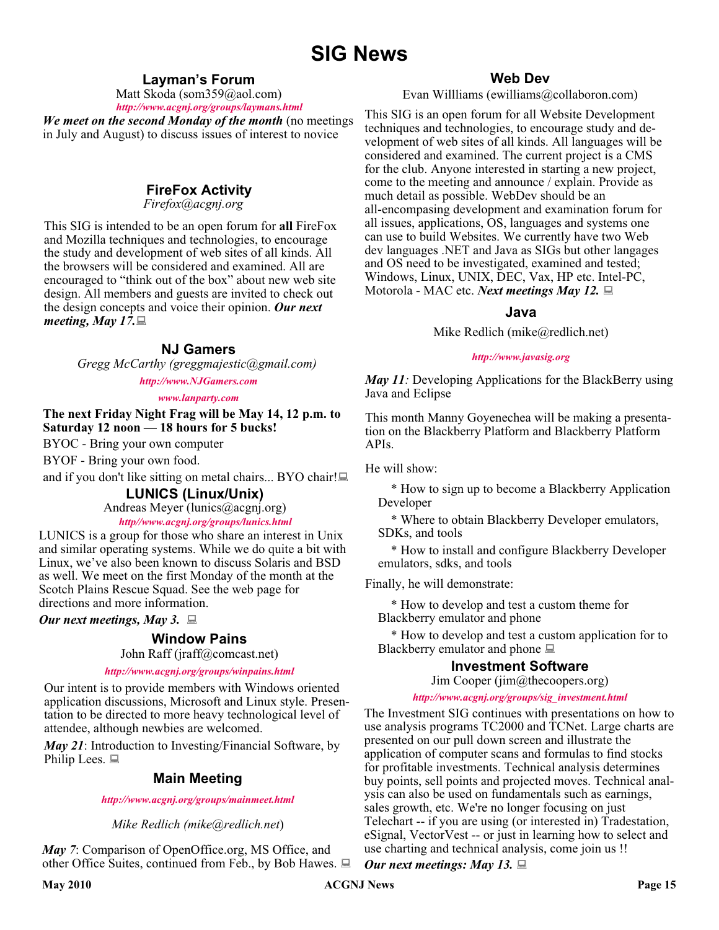### **SIG News**

#### **Layman's Forum**

Matt Skoda (som359@aol.com)

*<http://www.acgnj.org/groups/laymans.html> We meet on the second Monday of the month* (no meetings in July and August) to discuss issues of interest to novice

#### **FireFox Activity**

*Firefox@acgnj.org*

This SIG is intended to be an open forum for **all** FireFox and Mozilla techniques and technologies, to encourage the study and development of web sites of all kinds. All the browsers will be considered and examined. All are encouraged to "think out of the box" about new web site design. All members and guests are invited to check out the design concepts and voice their opinion. *Our next meeting, May 17.*

#### **NJ Gamers**

*Gregg McCarthy (greggmajestic@gmail.com)*

#### *<http://www.NJGamers.com>*

#### *[www.lanparty.com](http://www.lanparty.com)*

**The next Friday Night Frag will be May 14, 12 p.m. to Saturday 12 noon — 18 hours for 5 bucks!**

BYOC - Bring your own computer

BYOF - Bring your own food.

and if you don't like sitting on metal chairs... BYO chair!

#### **LUNICS (Linux/Unix)**

Andreas Meyer (lunics@acgnj.org)

#### *<http//www.acgnj.org/groups/lunics.html>*

LUNICS is a group for those who share an interest in Unix and similar operating systems. While we do quite a bit with Linux, we've also been known to discuss Solaris and BSD as well. We meet on the first Monday of the month at the Scotch Plains Rescue Squad. See the web page for directions and more information.

*Our next meetings, May 3.*

#### **Window Pains**

John Raff (jraff@comcast.net)

#### *<http://www.acgnj.org/groups/winpains.html>*

Our intent is to provide members with Windows oriented application discussions, Microsoft and Linux style. Presentation to be directed to more heavy technological level of attendee, although newbies are welcomed.

*May 21*: Introduction to Investing/Financial Software, by Philip Lees.  $\Box$ 

#### **Main Meeting**

*<http://www.acgnj.org/groups/mainmeet.html>*

*Mike Redlich (mike@redlich.net*)

*May 7*: Comparison of OpenOffice.org, MS Office, and other Office Suites, continued from Feb., by Bob Hawes.  $\Box$ 

#### **Web Dev**

Evan Willliams (ewilliams@collaboron.com)

This SIG is an open forum for all Website Development techniques and technologies, to encourage study and development of web sites of all kinds. All languages will be considered and examined. The current project is a CMS for the club. Anyone interested in starting a new project, come to the meeting and announce / explain. Provide as much detail as possible. WebDev should be an all-encompasing development and examination forum for all issues, applications, OS, languages and systems one can use to build Websites. We currently have two Web dev languages .NET and Java as SIGs but other langages and OS need to be investigated, examined and tested; Windows, Linux, UNIX, DEC, Vax, HP etc. Intel-PC, Motorola - MAC etc. *Next meetings May 12.*

#### **Java**

Mike Redlich (mike@redlich.net)

#### *<http://www.javasig.org>*

*May 11:* Developing Applications for the BlackBerry using Java and Eclipse

This month Manny Goyenechea will be making a presentation on the Blackberry Platform and Blackberry Platform APIs.

He will show:

\* How to sign up to become a Blackberry Application Developer

\* Where to obtain Blackberry Developer emulators, SDKs, and tools

\* How to install and configure Blackberry Developer emulators, sdks, and tools

Finally, he will demonstrate:

\* How to develop and test a custom theme for Blackberry emulator and phone

\* How to develop and test a custom application for to Blackberry emulator and phone  $\Box$ 

#### **Investment Software**

Jim Cooper (jim@thecoopers.org)

#### *[http://www.acgnj.org/groups/sig\\_investment.html](http://www.acgnj.org/groups/sig_investment.html)*

The Investment SIG continues with presentations on how to use analysis programs TC2000 and TCNet. Large charts are presented on our pull down screen and illustrate the application of computer scans and formulas to find stocks for profitable investments. Technical analysis determines buy points, sell points and projected moves. Technical analysis can also be used on fundamentals such as earnings, sales growth, etc. We're no longer focusing on just Telechart -- if you are using (or interested in) Tradestation, eSignal, VectorVest -- or just in learning how to select and use charting and technical analysis, come join us !!

*Our next meetings: May 13.*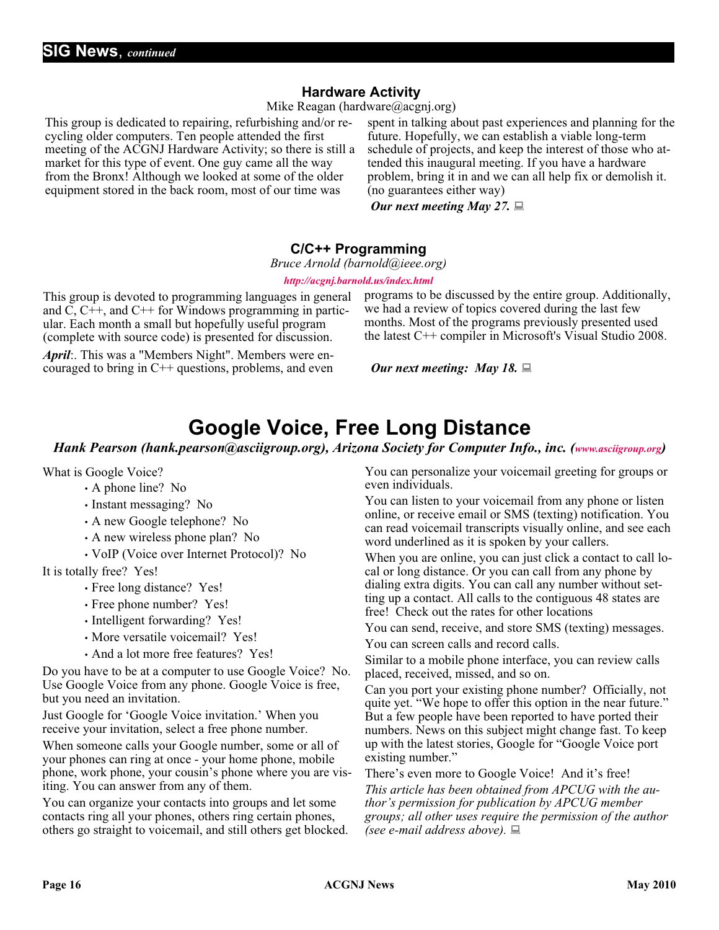#### **Hardware Activity**

Mike Reagan (hardware@acgnj.org)

This group is dedicated to repairing, refurbishing and/or recycling older computers. Ten people attended the first meeting of the ACGNJ Hardware Activity; so there is still a market for this type of event. One guy came all the way from the Bronx! Although we looked at some of the older equipment stored in the back room, most of our time was

spent in talking about past experiences and planning for the future. Hopefully, we can establish a viable long-term schedule of projects, and keep the interest of those who attended this inaugural meeting. If you have a hardware problem, bring it in and we can all help fix or demolish it. (no guarantees either way)

*Our next meeting May 27.*

#### **C/C++ Programming**

*Bruce Arnold (barnold@ieee.org)*

#### *<http://acgnj.barnold.us/index.html>*

This group is devoted to programming languages in general and  $\dot{C}$ ,  $C++$ , and  $C++$  for Windows programming in particular. Each month a small but hopefully useful program (complete with source code) is presented for discussion.

*April*:. This was a "Members Night". Members were encouraged to bring in  $C++$  questions, problems, and even programs to be discussed by the entire group. Additionally, we had a review of topics covered during the last few months. Most of the programs previously presented used the latest C++ compiler in Microsoft's Visual Studio 2008.

*Our next meeting: May 18.*

### **Google Voice, Free Long Distance**

*Hank Pearson (hank.pearson@asciigroup.org), Arizona Society for Computer Info., inc. ([www.asciigroup.org](http://www.asciigroup.org))*

What is Google Voice?

- A phone line? No
- Instant messaging? No
- A new Google telephone? No
- A new wireless phone plan? No
- VoIP (Voice over Internet Protocol)? No

It is totally free? Yes!

- Free long distance? Yes!
- Free phone number? Yes!
- Intelligent forwarding? Yes!
- More versatile voicemail? Yes!
- And a lot more free features? Yes!

Do you have to be at a computer to use Google Voice? No. Use Google Voice from any phone. Google Voice is free, but you need an invitation.

Just Google for 'Google Voice invitation.' When you receive your invitation, select a free phone number.

When someone calls your Google number, some or all of your phones can ring at once - your home phone, mobile phone, work phone, your cousin's phone where you are visiting. You can answer from any of them.

You can organize your contacts into groups and let some contacts ring all your phones, others ring certain phones, others go straight to voicemail, and still others get blocked.

You can personalize your voicemail greeting for groups or even individuals.

You can listen to your voicemail from any phone or listen online, or receive email or SMS (texting) notification. You can read voicemail transcripts visually online, and see each word underlined as it is spoken by your callers.

When you are online, you can just click a contact to call local or long distance. Or you can call from any phone by dialing extra digits. You can call any number without setting up a contact. All calls to the contiguous 48 states are free! Check out the rates for other locations

You can send, receive, and store SMS (texting) messages.

You can screen calls and record calls.

Similar to a mobile phone interface, you can review calls placed, received, missed, and so on.

Can you port your existing phone number? Officially, not quite yet. "We hope to offer this option in the near future." But a few people have been reported to have ported their numbers. News on this subject might change fast. To keep up with the latest stories, Google for "Google Voice port existing number."

There's even more to Google Voice! And it's free! *This article has been obtained from APCUG with the author's permission for publication by APCUG member groups; all other uses require the permission of the author (see e-mail address above).*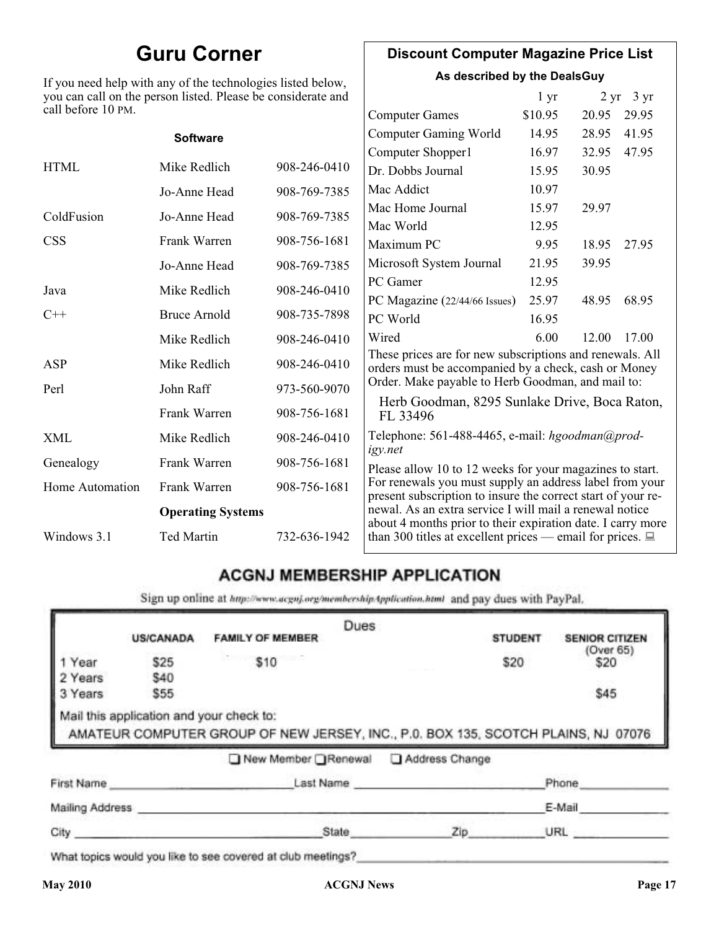### **Guru Corner**

If you need help with any of the technologies listed below, you can call on the person listed. Please be considerate and call before 10 PM.

#### **Discount Computer Magazine Price List**

**As described by the DealsGuy**

|                        | you can call on the person listed. Please be considerate and |              |                                                                                                                         | 1 <sub>yr</sub> |       | $2 \text{ yr}$ 3 yr |
|------------------------|--------------------------------------------------------------|--------------|-------------------------------------------------------------------------------------------------------------------------|-----------------|-------|---------------------|
| call before 10 PM.     |                                                              |              | <b>Computer Games</b>                                                                                                   | \$10.95         | 20.95 | 29.95               |
|                        | <b>Software</b>                                              |              | <b>Computer Gaming World</b>                                                                                            | 14.95           | 28.95 | 41.95               |
|                        |                                                              |              | Computer Shopper1                                                                                                       | 16.97           | 32.95 | 47.95               |
| <b>HTML</b>            | Mike Redlich                                                 | 908-246-0410 | Dr. Dobbs Journal                                                                                                       | 15.95           | 30.95 |                     |
|                        | Jo-Anne Head                                                 | 908-769-7385 | Mac Addict                                                                                                              | 10.97           |       |                     |
| ColdFusion             | Jo-Anne Head                                                 | 908-769-7385 | Mac Home Journal                                                                                                        | 15.97           | 29.97 |                     |
|                        |                                                              |              | Mac World                                                                                                               | 12.95           |       |                     |
| <b>CSS</b>             | Frank Warren                                                 | 908-756-1681 | Maximum PC                                                                                                              | 9.95            | 18.95 | 27.95               |
|                        | Jo-Anne Head                                                 | 908-769-7385 | Microsoft System Journal                                                                                                | 21.95           | 39.95 |                     |
| Java                   | Mike Redlich                                                 | 908-246-0410 | PC Gamer                                                                                                                | 12.95           |       |                     |
|                        |                                                              |              | PC Magazine (22/44/66 Issues)                                                                                           | 25.97           | 48.95 | 68.95               |
| $C++$                  | <b>Bruce Arnold</b>                                          | 908-735-7898 | PC World                                                                                                                | 16.95           |       |                     |
|                        | Mike Redlich                                                 | 908-246-0410 | Wired                                                                                                                   | 6.00            | 12.00 | 17.00               |
| ASP                    | Mike Redlich                                                 | 908-246-0410 | These prices are for new subscriptions and renewals. All<br>orders must be accompanied by a check, cash or Money        |                 |       |                     |
| Perl                   | John Raff                                                    | 973-560-9070 | Order. Make payable to Herb Goodman, and mail to:                                                                       |                 |       |                     |
|                        | Frank Warren                                                 | 908-756-1681 | Herb Goodman, 8295 Sunlake Drive, Boca Raton,<br>FL 33496                                                               |                 |       |                     |
| XML                    | Mike Redlich                                                 | 908-246-0410 | Telephone: 561-488-4465, e-mail: hgoodman@prod-<br>igy.net                                                              |                 |       |                     |
| Genealogy              | Frank Warren                                                 | 908-756-1681 | Please allow 10 to 12 weeks for your magazines to start.                                                                |                 |       |                     |
| <b>Home Automation</b> | Frank Warren                                                 | 908-756-1681 | For renewals you must supply an address label from your<br>present subscription to insure the correct start of your re- |                 |       |                     |
|                        | <b>Operating Systems</b>                                     |              | newal. As an extra service I will mail a renewal notice<br>about 4 months prior to their expiration date. I carry more  |                 |       |                     |
| Windows 3.1            | <b>Ted Martin</b>                                            | 732-636-1942 | than 300 titles at excellent prices — email for prices. $\Box$                                                          |                 |       |                     |

#### **ACGNJ MEMBERSHIP APPLICATION**

Sign up online at http://www.acguj.org/membershipApplication.html and pay dues with PayPal.

|                 |                                          | Dues                                                                              |           |                |                       |
|-----------------|------------------------------------------|-----------------------------------------------------------------------------------|-----------|----------------|-----------------------|
|                 | <b>US/CANADA</b>                         | <b>FAMILY OF MEMBER</b>                                                           |           | <b>STUDENT</b> | <b>SENIOR CITIZEN</b> |
| 1 Year          | \$25                                     | \$10                                                                              |           | \$20           | (Over 65)<br>\$20     |
| 2 Years         | \$40                                     |                                                                                   |           |                |                       |
| 3 Years         | \$55                                     |                                                                                   |           |                | \$45                  |
|                 | Mail this application and your check to: | AMATEUR COMPUTER GROUP OF NEW JERSEY, INC., P.0. BOX 135, SCOTCH PLAINS, NJ 07076 |           |                |                       |
|                 |                                          | New Member Renewal Address Change                                                 |           |                |                       |
|                 | First Name                               |                                                                                   | Last Name |                | Phone                 |
| Mailing Address |                                          |                                                                                   |           |                | E-Mail                |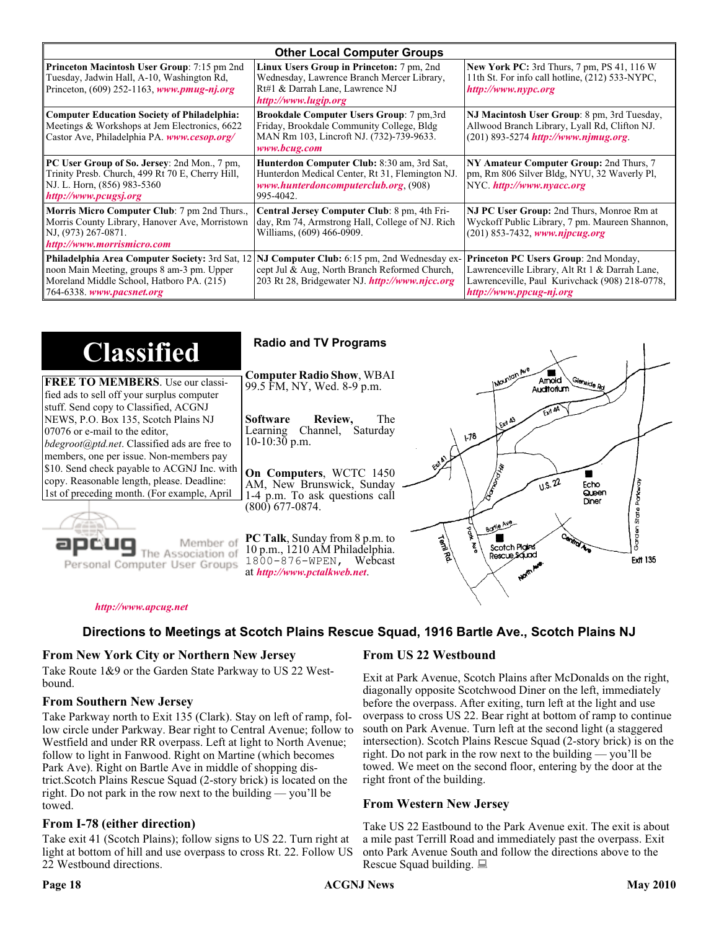| <b>Other Local Computer Groups</b>                                                                                                                                             |                                                                                                                                                           |                                                                                                                                                                      |  |  |
|--------------------------------------------------------------------------------------------------------------------------------------------------------------------------------|-----------------------------------------------------------------------------------------------------------------------------------------------------------|----------------------------------------------------------------------------------------------------------------------------------------------------------------------|--|--|
| <b>Princeton Macintosh User Group:</b> 7:15 pm 2nd<br>Tuesday, Jadwin Hall, A-10, Washington Rd,<br>Princeton, $(609)$ 252-1163, www.pmug-nj.org                               | Linux Users Group in Princeton: 7 pm, 2nd<br>Wednesday, Lawrence Branch Mercer Library,<br>Rt#1 & Darrah Lane, Lawrence NJ<br>http://www.lugip.org        | <b>New York PC:</b> 3rd Thurs, 7 pm, PS 41, 116 W<br>11th St. For info call hotline, (212) 533-NYPC,<br>http://www.nypc.org                                          |  |  |
| <b>Computer Education Society of Philadelphia:</b><br>Meetings & Workshops at Jem Electronics, 6622<br>Castor Ave, Philadelphia PA. www.cesop.org/                             | <b>Brookdale Computer Users Group:</b> 7 pm, 3rd<br>Friday, Brookdale Community College, Bldg<br>MAN Rm 103, Lincroft NJ. (732)-739-9633.<br>www.bcug.com | NJ Macintosh User Group: 8 pm, 3rd Tuesday,<br>Allwood Branch Library, Lyall Rd, Clifton NJ.<br>$(201) 893 - 5274$ http://www.njmug.org.                             |  |  |
| PC User Group of So. Jersey: 2nd Mon., 7 pm,<br>Trinity Presb. Church, 499 Rt 70 E, Cherry Hill,<br>NJ. L. Horn, (856) 983-5360<br>http://www.pcugsj.org                       | Hunterdon Computer Club: 8:30 am, 3rd Sat,<br>Hunterdon Medical Center, Rt 31, Flemington NJ.<br>www.hunterdoncomputerclub.org. (908)<br>995-4042.        | NY Amateur Computer Group: 2nd Thurs, 7<br>pm, Rm 806 Silver Bldg, NYU, 32 Waverly Pl,<br>NYC http://www.nyacc.org                                                   |  |  |
| Morris Micro Computer Club: 7 pm 2nd Thurs.,<br>Morris County Library, Hanover Ave, Morristown<br>NJ, (973) 267-0871.<br>http://www.morrismicro.com                            | Central Jersey Computer Club: 8 pm, 4th Fri-<br>day, Rm 74, Armstrong Hall, College of NJ. Rich<br>Williams, (609) 466-0909.                              | NJ PC User Group: 2nd Thurs, Monroe Rm at<br>Wyckoff Public Library, 7 pm. Maureen Shannon,<br>$(201)$ 853-7432, www.njpcug.org                                      |  |  |
| <b>Philadelphia Area Computer Society: 3rd Sat, 12</b><br>noon Main Meeting, groups 8 am-3 pm. Upper<br>Moreland Middle School, Hatboro PA. (215)<br>764-6338. www.pacsnet.org | NJ Computer Club: 6:15 pm, 2nd Wednesday ex-<br>cept Jul & Aug, North Branch Reformed Church,<br>203 Rt 28, Bridgewater NJ. http://www.njcc.org           | Princeton PC Users Group: 2nd Monday,<br>Lawrenceville Library, Alt Rt 1 & Darrah Lane,<br>Lawrenceville, Paul Kurivchack (908) 218-0778,<br>http://www.ppcug-nj.org |  |  |

| <b>Classified</b>                                                                                                                                                                                                 | <b>Radio and TV Programs</b>                                                                                                                                                                                                 |  |
|-------------------------------------------------------------------------------------------------------------------------------------------------------------------------------------------------------------------|------------------------------------------------------------------------------------------------------------------------------------------------------------------------------------------------------------------------------|--|
| <b>FREE TO MEMBERS.</b> Use our classi-<br>fied ads to sell off your surplus computer                                                                                                                             | <b>Computer Radio Show, WBAI</b><br>Amold<br>Slenside Rd<br>99.5 FM, NY, Wed. 8-9 p.m.<br>Auditorium                                                                                                                         |  |
| stuff. Send copy to Classified, ACGNJ<br>NEWS, P.O. Box 135, Scotch Plains NJ<br>07076 or e-mail to the editor,<br><i>bdegroot@ptd.net.</i> Classified ads are free to<br>members, one per issue. Non-members pay | <b>Software</b><br>Review,<br>The<br>LEXA A3<br>Learning Channel, Saturday<br>78ع<br>10-10:30 p.m.                                                                                                                           |  |
| \$10. Send check payable to ACGNJ Inc. with<br>copy. Reasonable length, please. Deadline:<br>1st of preceding month. (For example, April                                                                          | On Computers, WCTC 1450<br>0.5.22<br>AM, New Brunswick, Sunday<br>Echo<br>Queen<br>1-4 p.m. To ask questions call<br>Diner<br>$(800)$ 677-0874.                                                                              |  |
| Member of<br>Personal Computer User Groups                                                                                                                                                                        | Borlo Ave<br>C.)<br><b>PC Talk, Sunday from 8 p.m. to</b><br>Term Rd.<br>Scotch Plains<br>10 p.m., 1210 AM Philadelphia.<br>Rescue Sound<br><b>Ext1 135</b><br>$1800 - 876 - WPEN$ , Webcast<br>at http://www.pctalkweb.net. |  |

#### *<http://www.apcug.net>*

#### **Directions to Meetings at Scotch Plains Rescue Squad, 1916 Bartle Ave., Scotch Plains NJ**

#### **From New York City or Northern New Jersey**

Take Route 1&9 or the Garden State Parkway to US 22 Westbound.

#### **From Southern New Jersey**

Take Parkway north to Exit 135 (Clark). Stay on left of ramp, follow circle under Parkway. Bear right to Central Avenue; follow to Westfield and under RR overpass. Left at light to North Avenue; follow to light in Fanwood. Right on Martine (which becomes Park Ave). Right on Bartle Ave in middle of shopping district.Scotch Plains Rescue Squad (2-story brick) is located on the right. Do not park in the row next to the building — you'll be towed.

#### **From I-78 (either direction)**

Take exit 41 (Scotch Plains); follow signs to US 22. Turn right at light at bottom of hill and use overpass to cross Rt. 22. Follow US 22 Westbound directions.

#### **From US 22 Westbound**

 $\zeta$ 

Exit at Park Avenue, Scotch Plains after McDonalds on the right, diagonally opposite Scotchwood Diner on the left, immediately before the overpass. After exiting, turn left at the light and use overpass to cross US 22. Bear right at bottom of ramp to continue south on Park Avenue. Turn left at the second light (a staggered intersection). Scotch Plains Rescue Squad (2-story brick) is on the right. Do not park in the row next to the building — you'll be towed. We meet on the second floor, entering by the door at the right front of the building.

#### **From Western New Jersey**

Take US 22 Eastbound to the Park Avenue exit. The exit is about a mile past Terrill Road and immediately past the overpass. Exit onto Park Avenue South and follow the directions above to the Rescue Squad building.

#### Page 18 **May 2010 Page 18** ACGNJ News